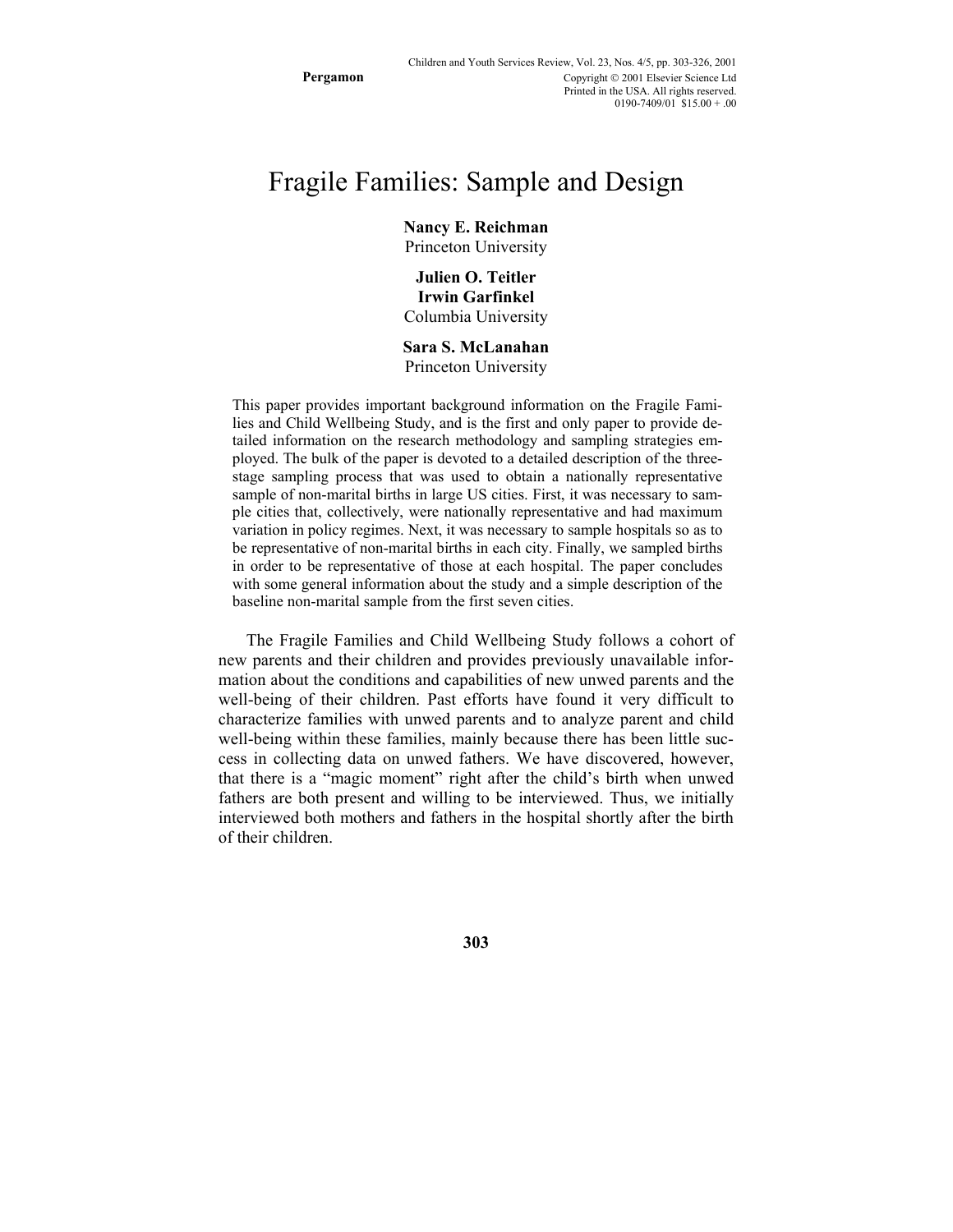# Fragile Families: Sample and Design

**Nancy E. Reichman**  Princeton University

**Julien O. Teitler Irwin Garfinkel**  Columbia University

### **Sara S. McLanahan**  Princeton University

This paper provides important background information on the Fragile Families and Child Wellbeing Study, and is the first and only paper to provide detailed information on the research methodology and sampling strategies employed. The bulk of the paper is devoted to a detailed description of the threestage sampling process that was used to obtain a nationally representative sample of non-marital births in large US cities. First, it was necessary to sample cities that, collectively, were nationally representative and had maximum variation in policy regimes. Next, it was necessary to sample hospitals so as to be representative of non-marital births in each city. Finally, we sampled births in order to be representative of those at each hospital. The paper concludes with some general information about the study and a simple description of the baseline non-marital sample from the first seven cities.

The Fragile Families and Child Wellbeing Study follows a cohort of new parents and their children and provides previously unavailable information about the conditions and capabilities of new unwed parents and the well-being of their children. Past efforts have found it very difficult to characterize families with unwed parents and to analyze parent and child well-being within these families, mainly because there has been little success in collecting data on unwed fathers. We have discovered, however, that there is a "magic moment" right after the child's birth when unwed fathers are both present and willing to be interviewed. Thus, we initially interviewed both mothers and fathers in the hospital shortly after the birth of their children.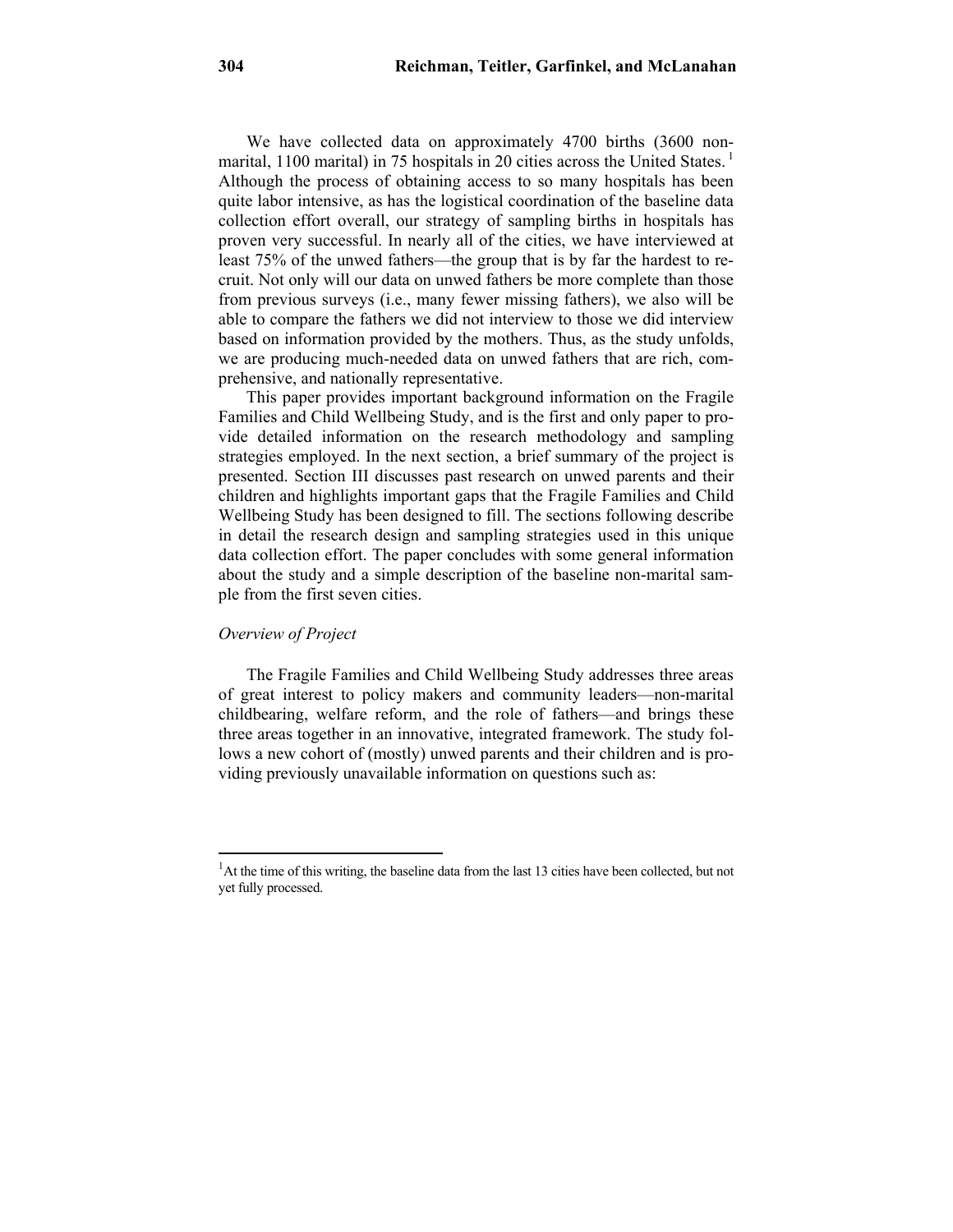We have collected data on approximately 4700 births (3600 non-marital, [1](#page-1-0)100 marital) in 75 hospitals in 20 cities across the United States.<sup>1</sup> Although the process of obtaining access to so many hospitals has been quite labor intensive, as has the logistical coordination of the baseline data collection effort overall, our strategy of sampling births in hospitals has proven very successful. In nearly all of the cities, we have interviewed at least 75% of the unwed fathers—the group that is by far the hardest to recruit. Not only will our data on unwed fathers be more complete than those from previous surveys (i.e., many fewer missing fathers), we also will be able to compare the fathers we did not interview to those we did interview based on information provided by the mothers. Thus, as the study unfolds, we are producing much-needed data on unwed fathers that are rich, comprehensive, and nationally representative.

This paper provides important background information on the Fragile Families and Child Wellbeing Study, and is the first and only paper to provide detailed information on the research methodology and sampling strategies employed. In the next section, a brief summary of the project is presented. Section III discusses past research on unwed parents and their children and highlights important gaps that the Fragile Families and Child Wellbeing Study has been designed to fill. The sections following describe in detail the research design and sampling strategies used in this unique data collection effort. The paper concludes with some general information about the study and a simple description of the baseline non-marital sample from the first seven cities.

### *Overview of Project*

 $\overline{a}$ 

The Fragile Families and Child Wellbeing Study addresses three areas of great interest to policy makers and community leaders—non-marital childbearing, welfare reform, and the role of fathers—and brings these three areas together in an innovative, integrated framework. The study follows a new cohort of (mostly) unwed parents and their children and is providing previously unavailable information on questions such as:

<span id="page-1-0"></span><sup>&</sup>lt;sup>1</sup>At the time of this writing, the baseline data from the last 13 cities have been collected, but not yet fully processed.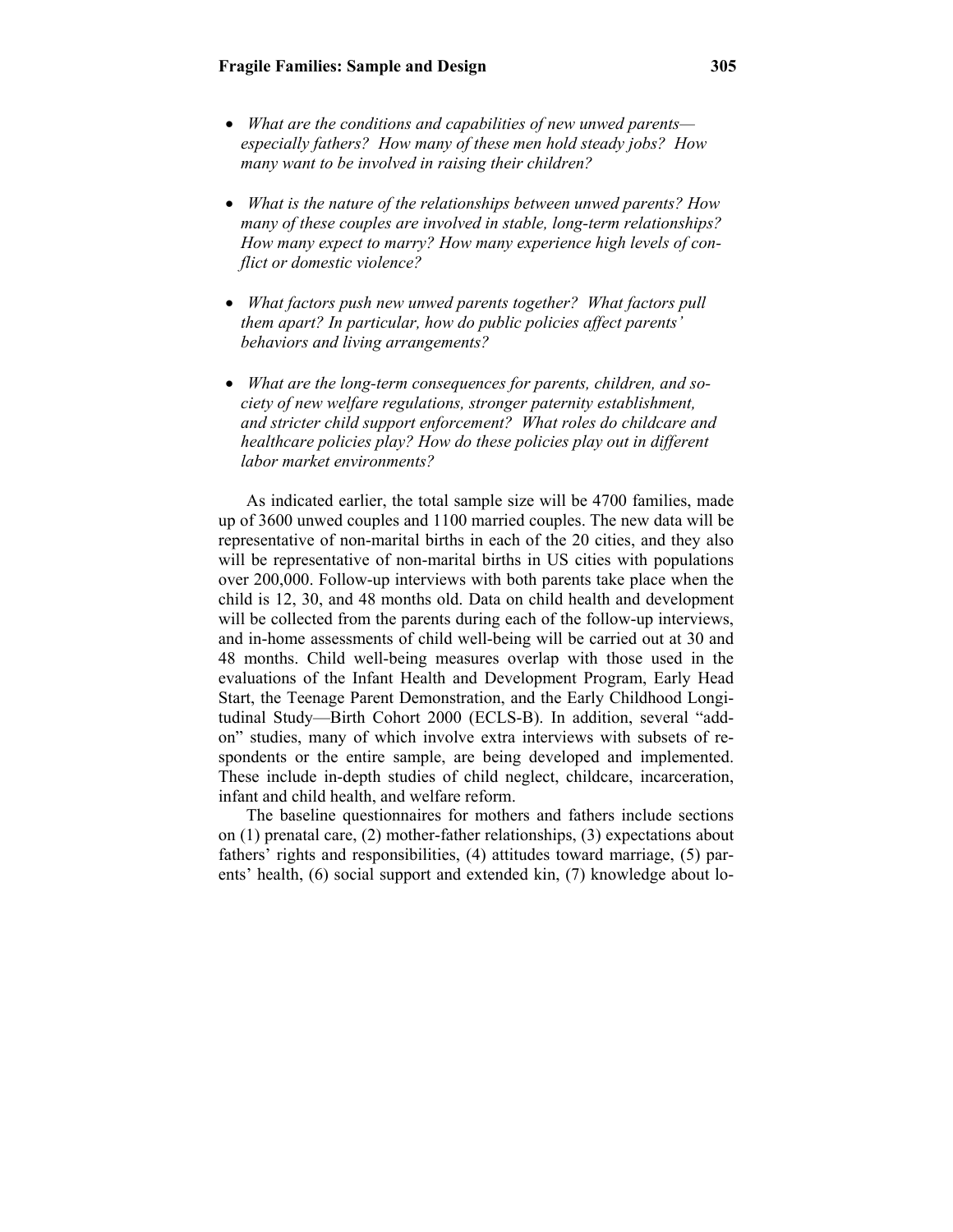- *What are the conditions and capabilities of new unwed parents especially fathers? How many of these men hold steady jobs? How many want to be involved in raising their children?*
- *What is the nature of the relationships between unwed parents? How many of these couples are involved in stable, long-term relationships? How many expect to marry? How many experience high levels of conflict or domestic violence?*
- *What factors push new unwed parents together? What factors pull them apart? In particular, how do public policies affect parents' behaviors and living arrangements?*
- *What are the long-term consequences for parents, children, and society of new welfare regulations, stronger paternity establishment, and stricter child support enforcement? What roles do childcare and healthcare policies play? How do these policies play out in different labor market environments?*

As indicated earlier, the total sample size will be 4700 families, made up of 3600 unwed couples and 1100 married couples. The new data will be representative of non-marital births in each of the 20 cities, and they also will be representative of non-marital births in US cities with populations over 200,000. Follow-up interviews with both parents take place when the child is 12, 30, and 48 months old. Data on child health and development will be collected from the parents during each of the follow-up interviews, and in-home assessments of child well-being will be carried out at 30 and 48 months. Child well-being measures overlap with those used in the evaluations of the Infant Health and Development Program, Early Head Start, the Teenage Parent Demonstration, and the Early Childhood Longitudinal Study—Birth Cohort 2000 (ECLS-B). In addition, several "addon" studies, many of which involve extra interviews with subsets of respondents or the entire sample, are being developed and implemented. These include in-depth studies of child neglect, childcare, incarceration, infant and child health, and welfare reform.

The baseline questionnaires for mothers and fathers include sections on (1) prenatal care, (2) mother-father relationships, (3) expectations about fathers' rights and responsibilities, (4) attitudes toward marriage, (5) parents' health, (6) social support and extended kin, (7) knowledge about lo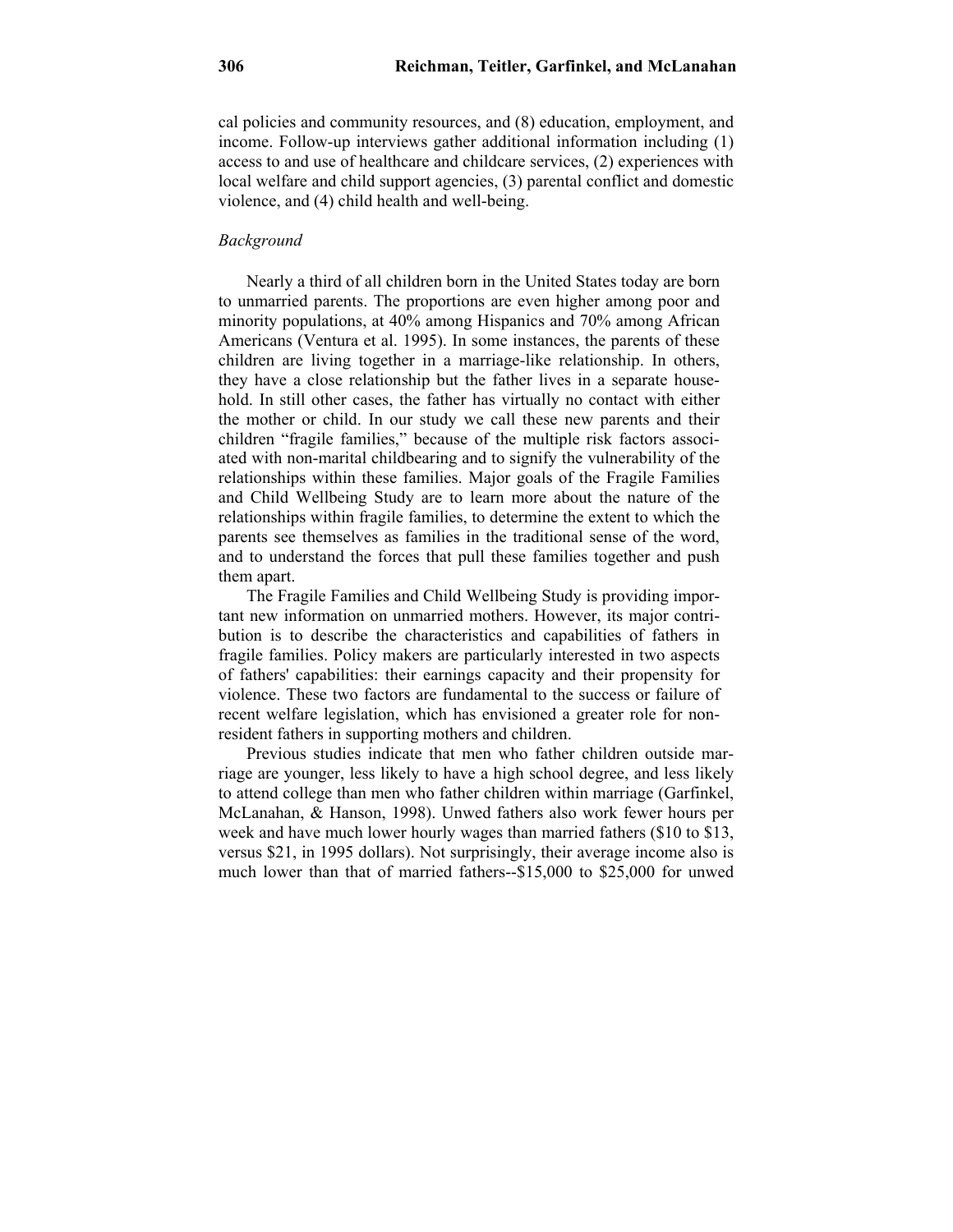cal policies and community resources, and (8) education, employment, and income. Follow-up interviews gather additional information including (1) access to and use of healthcare and childcare services, (2) experiences with local welfare and child support agencies, (3) parental conflict and domestic violence, and (4) child health and well-being.

# *Background*

Nearly a third of all children born in the United States today are born to unmarried parents. The proportions are even higher among poor and minority populations, at 40% among Hispanics and 70% among African Americans (Ventura et al. 1995). In some instances, the parents of these children are living together in a marriage-like relationship. In others, they have a close relationship but the father lives in a separate household. In still other cases, the father has virtually no contact with either the mother or child. In our study we call these new parents and their children "fragile families," because of the multiple risk factors associated with non-marital childbearing and to signify the vulnerability of the relationships within these families. Major goals of the Fragile Families and Child Wellbeing Study are to learn more about the nature of the relationships within fragile families, to determine the extent to which the parents see themselves as families in the traditional sense of the word, and to understand the forces that pull these families together and push them apart.

The Fragile Families and Child Wellbeing Study is providing important new information on unmarried mothers. However, its major contribution is to describe the characteristics and capabilities of fathers in fragile families. Policy makers are particularly interested in two aspects of fathers' capabilities: their earnings capacity and their propensity for violence. These two factors are fundamental to the success or failure of recent welfare legislation, which has envisioned a greater role for nonresident fathers in supporting mothers and children.

Previous studies indicate that men who father children outside marriage are younger, less likely to have a high school degree, and less likely to attend college than men who father children within marriage (Garfinkel, McLanahan, & Hanson, 1998). Unwed fathers also work fewer hours per week and have much lower hourly wages than married fathers (\$10 to \$13, versus \$21, in 1995 dollars). Not surprisingly, their average income also is much lower than that of married fathers--\$15,000 to \$25,000 for unwed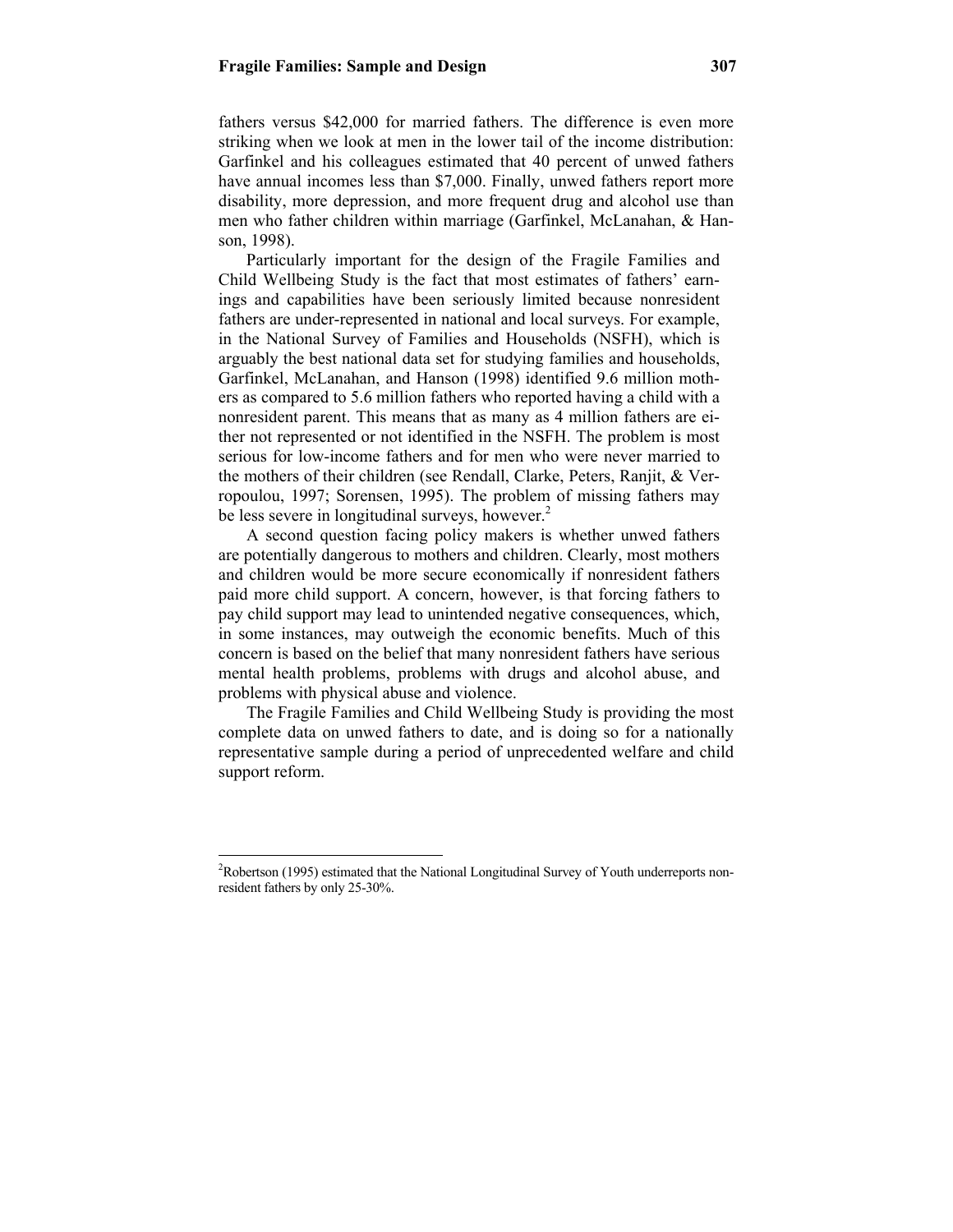fathers versus \$42,000 for married fathers. The difference is even more striking when we look at men in the lower tail of the income distribution: Garfinkel and his colleagues estimated that 40 percent of unwed fathers have annual incomes less than \$7,000. Finally, unwed fathers report more disability, more depression, and more frequent drug and alcohol use than men who father children within marriage (Garfinkel, McLanahan, & Hanson, 1998).

Particularly important for the design of the Fragile Families and Child Wellbeing Study is the fact that most estimates of fathers' earnings and capabilities have been seriously limited because nonresident fathers are under-represented in national and local surveys. For example, in the National Survey of Families and Households (NSFH), which is arguably the best national data set for studying families and households, Garfinkel, McLanahan, and Hanson (1998) identified 9.6 million mothers as compared to 5.6 million fathers who reported having a child with a nonresident parent. This means that as many as 4 million fathers are either not represented or not identified in the NSFH. The problem is most serious for low-income fathers and for men who were never married to the mothers of their children (see Rendall, Clarke, Peters, Ranjit, & Verropoulou, 1997; Sorensen, 1995). The problem of missing fathers may be less severe in longitudinal surveys, however.<sup>2</sup>

A second question facing policy makers is whether unwed fathers are potentially dangerous to mothers and children. Clearly, most mothers and children would be more secure economically if nonresident fathers paid more child support. A concern, however, is that forcing fathers to pay child support may lead to unintended negative consequences, which, in some instances, may outweigh the economic benefits. Much of this concern is based on the belief that many nonresident fathers have serious mental health problems, problems with drugs and alcohol abuse, and problems with physical abuse and violence.

The Fragile Families and Child Wellbeing Study is providing the most complete data on unwed fathers to date, and is doing so for a nationally representative sample during a period of unprecedented welfare and child support reform.

<span id="page-4-0"></span><sup>&</sup>lt;sup>2</sup>Robertson (1995) estimated that the National Longitudinal Survey of Youth underreports nonresident fathers by only 25-30%.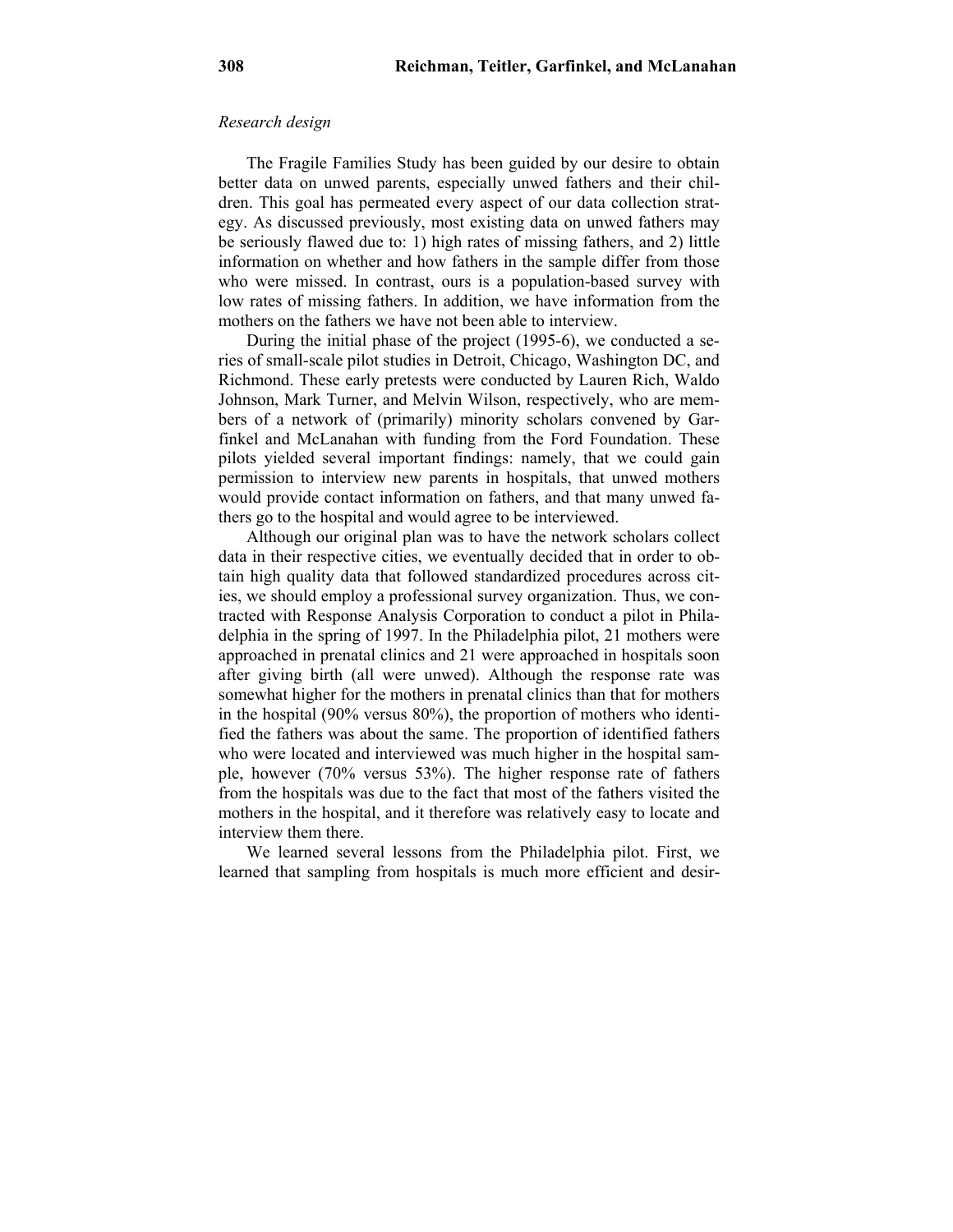# *Research design*

The Fragile Families Study has been guided by our desire to obtain better data on unwed parents, especially unwed fathers and their children. This goal has permeated every aspect of our data collection strategy. As discussed previously, most existing data on unwed fathers may be seriously flawed due to: 1) high rates of missing fathers, and 2) little information on whether and how fathers in the sample differ from those who were missed. In contrast, ours is a population-based survey with low rates of missing fathers. In addition, we have information from the mothers on the fathers we have not been able to interview.

During the initial phase of the project (1995-6), we conducted a series of small-scale pilot studies in Detroit, Chicago, Washington DC, and Richmond. These early pretests were conducted by Lauren Rich, Waldo Johnson, Mark Turner, and Melvin Wilson, respectively, who are members of a network of (primarily) minority scholars convened by Garfinkel and McLanahan with funding from the Ford Foundation. These pilots yielded several important findings: namely, that we could gain permission to interview new parents in hospitals, that unwed mothers would provide contact information on fathers, and that many unwed fathers go to the hospital and would agree to be interviewed.

Although our original plan was to have the network scholars collect data in their respective cities, we eventually decided that in order to obtain high quality data that followed standardized procedures across cities, we should employ a professional survey organization. Thus, we contracted with Response Analysis Corporation to conduct a pilot in Philadelphia in the spring of 1997. In the Philadelphia pilot, 21 mothers were approached in prenatal clinics and 21 were approached in hospitals soon after giving birth (all were unwed). Although the response rate was somewhat higher for the mothers in prenatal clinics than that for mothers in the hospital (90% versus 80%), the proportion of mothers who identified the fathers was about the same. The proportion of identified fathers who were located and interviewed was much higher in the hospital sample, however (70% versus 53%). The higher response rate of fathers from the hospitals was due to the fact that most of the fathers visited the mothers in the hospital, and it therefore was relatively easy to locate and interview them there.

We learned several lessons from the Philadelphia pilot. First, we learned that sampling from hospitals is much more efficient and desir-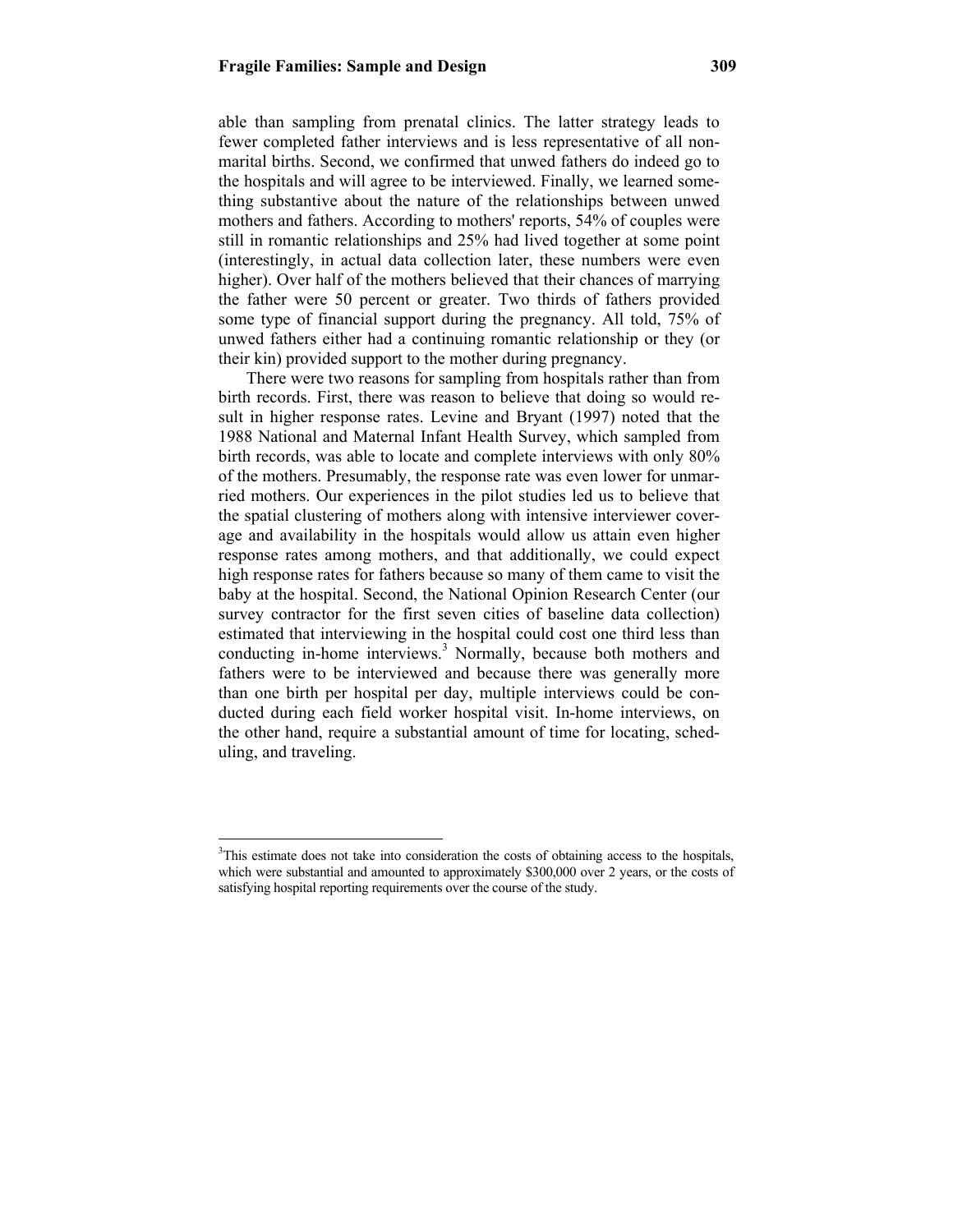able than sampling from prenatal clinics. The latter strategy leads to fewer completed father interviews and is less representative of all nonmarital births. Second, we confirmed that unwed fathers do indeed go to the hospitals and will agree to be interviewed. Finally, we learned something substantive about the nature of the relationships between unwed mothers and fathers. According to mothers' reports, 54% of couples were still in romantic relationships and 25% had lived together at some point (interestingly, in actual data collection later, these numbers were even higher). Over half of the mothers believed that their chances of marrying the father were 50 percent or greater. Two thirds of fathers provided some type of financial support during the pregnancy. All told, 75% of unwed fathers either had a continuing romantic relationship or they (or their kin) provided support to the mother during pregnancy.

There were two reasons for sampling from hospitals rather than from birth records. First, there was reason to believe that doing so would result in higher response rates. Levine and Bryant (1997) noted that the 1988 National and Maternal Infant Health Survey, which sampled from birth records, was able to locate and complete interviews with only 80% of the mothers. Presumably, the response rate was even lower for unmarried mothers. Our experiences in the pilot studies led us to believe that the spatial clustering of mothers along with intensive interviewer coverage and availability in the hospitals would allow us attain even higher response rates among mothers, and that additionally, we could expect high response rates for fathers because so many of them came to visit the baby at the hospital. Second, the National Opinion Research Center (our survey contractor for the first seven cities of baseline data collection) estimated that interviewing in the hospital could cost one third less than conducting in-home interviews.<sup>[3](#page-6-0)</sup> Normally, because both mothers and fathers were to be interviewed and because there was generally more than one birth per hospital per day, multiple interviews could be conducted during each field worker hospital visit. In-home interviews, on the other hand, require a substantial amount of time for locating, scheduling, and traveling.

<span id="page-6-0"></span><sup>&</sup>lt;sup>3</sup>This estimate does not take into consideration the costs of obtaining access to the hospitals, which were substantial and amounted to approximately \$300,000 over 2 years, or the costs of satisfying hospital reporting requirements over the course of the study.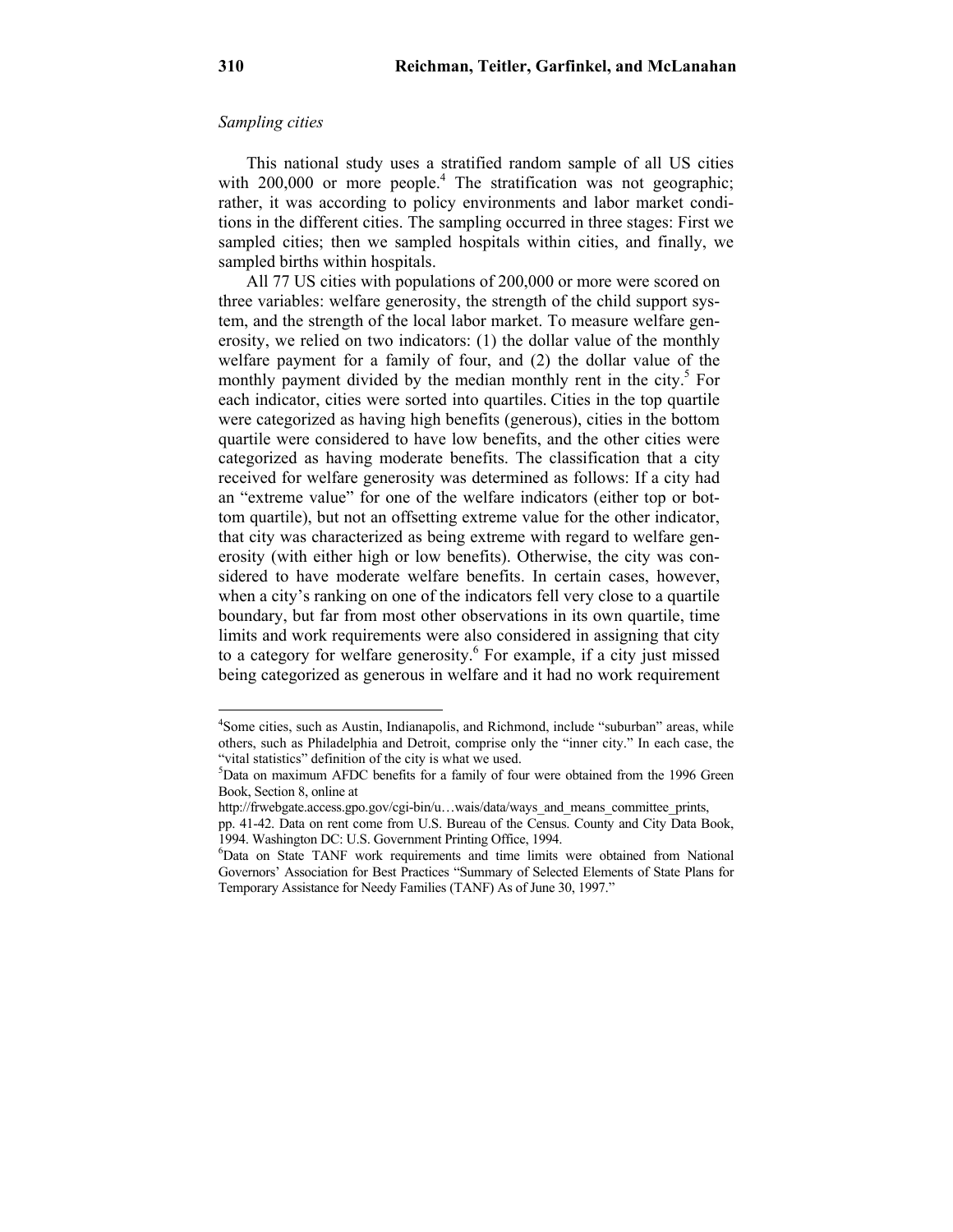### *Sampling cities*

This national study uses a stratified random sample of all US cities with 200,000 or more people.<sup>[4](#page-7-0)</sup> The stratification was not geographic; rather, it was according to policy environments and labor market conditions in the different cities. The sampling occurred in three stages: First we sampled cities; then we sampled hospitals within cities, and finally, we sampled births within hospitals.

All 77 US cities with populations of 200,000 or more were scored on three variables: welfare generosity, the strength of the child support system, and the strength of the local labor market. To measure welfare generosity, we relied on two indicators: (1) the dollar value of the monthly welfare payment for a family of four, and (2) the dollar value of the monthly payment divided by the median monthly rent in the city.<sup>[5](#page-7-1)</sup> For each indicator, cities were sorted into quartiles. Cities in the top quartile were categorized as having high benefits (generous), cities in the bottom quartile were considered to have low benefits, and the other cities were categorized as having moderate benefits. The classification that a city received for welfare generosity was determined as follows: If a city had an "extreme value" for one of the welfare indicators (either top or bottom quartile), but not an offsetting extreme value for the other indicator, that city was characterized as being extreme with regard to welfare generosity (with either high or low benefits). Otherwise, the city was considered to have moderate welfare benefits. In certain cases, however, when a city's ranking on one of the indicators fell very close to a quartile boundary, but far from most other observations in its own quartile, time limits and work requirements were also considered in assigning that city to a category for welfare generosity.<sup>6</sup> For example, if a city just missed being categorized as generous in welfare and it had no work requirement

<sup>4</sup> Some cities, such as Austin, Indianapolis, and Richmond, include "suburban" areas, while others, such as Philadelphia and Detroit, comprise only the "inner city." In each case, the "vital statistics" definition of the city is what we used.

<sup>5</sup> Data on maximum AFDC benefits for a family of four were obtained from the 1996 Green Book, Section 8, online at

http://frwebgate.access.gpo.gov/cgi-bin/u...wais/data/ways\_and\_means\_committee\_prints,

pp. 41-42. Data on rent come from U.S. Bureau of the Census. County and City Data Book, 1994. Washington DC: U.S. Government Printing Office, 1994.

<span id="page-7-2"></span><span id="page-7-1"></span><span id="page-7-0"></span><sup>6</sup> Data on State TANF work requirements and time limits were obtained from National Governors' Association for Best Practices "Summary of Selected Elements of State Plans for Temporary Assistance for Needy Families (TANF) As of June 30, 1997."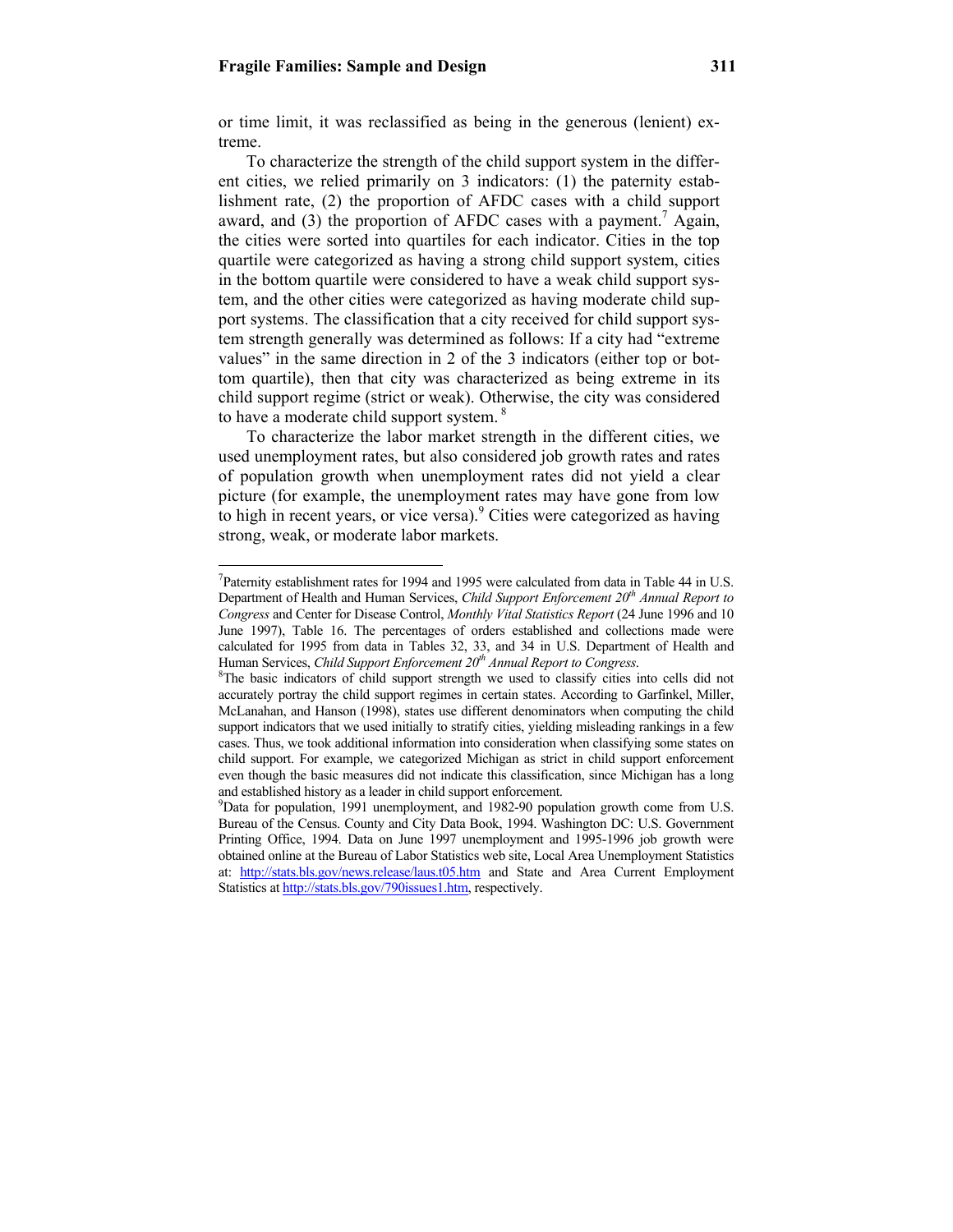$\overline{a}$ 

or time limit, it was reclassified as being in the generous (lenient) extreme.

To characterize the strength of the child support system in the different cities, we relied primarily on 3 indicators: (1) the paternity establishment rate, (2) the proportion of AFDC cases with a child support award, and (3) the proportion of AFDC cases with a payment.<sup>7</sup> Again, the cities were sorted into quartiles for each indicator. Cities in the top quartile were categorized as having a strong child support system, cities in the bottom quartile were considered to have a weak child support system, and the other cities were categorized as having moderate child support systems. The classification that a city received for child support system strength generally was determined as follows: If a city had "extreme values" in the same direction in 2 of the 3 indicators (either top or bottom quartile), then that city was characterized as being extreme in its child support regime (strict or weak). Otherwise, the city was considered to have a moderate child support system.<sup>8</sup>

To characterize the labor market strength in the different cities, we used unemployment rates, but also considered job growth rates and rates of population growth when unemployment rates did not yield a clear picture (for example, the unemployment rates may have gone from low to high in recent years, or vice versa).<sup>[9](#page-8-2)</sup> Cities were categorized as having strong, weak, or moderate labor markets.

<sup>&</sup>lt;sup>7</sup>Paternity establishment rates for 1994 and 1995 were calculated from data in Table 44 in U.S. Department of Health and Human Services, *Child Support Enforcement 20th Annual Report to Congress* and Center for Disease Control, *Monthly Vital Statistics Report* (24 June 1996 and 10 June 1997), Table 16. The percentages of orders established and collections made were calculated for 1995 from data in Tables 32, 33, and 34 in U.S. Department of Health and Human Services, *Child Support Enforcement 20<sup>th</sup> Annual Report to Congress.* 

<sup>&</sup>lt;sup>8</sup>The basic indicators of child support strength we used to classify cities into cells did not accurately portray the child support regimes in certain states. According to Garfinkel, Miller, McLanahan, and Hanson (1998), states use different denominators when computing the child support indicators that we used initially to stratify cities, yielding misleading rankings in a few cases. Thus, we took additional information into consideration when classifying some states on child support. For example, we categorized Michigan as strict in child support enforcement even though the basic measures did not indicate this classification, since Michigan has a long and established history as a leader in child support enforcement.

<span id="page-8-2"></span><span id="page-8-1"></span><span id="page-8-0"></span><sup>9</sup> Data for population, 1991 unemployment, and 1982-90 population growth come from U.S. Bureau of the Census. County and City Data Book, 1994. Washington DC: U.S. Government Printing Office, 1994. Data on June 1997 unemployment and 1995-1996 job growth were obtained online at the Bureau of Labor Statistics web site, Local Area Unemployment Statistics at: <http://stats.bls.gov/news.release/laus.t05.htm>and State and Area Current Employment Statistics at [http://stats.bls.gov/790issues1.htm,](http://stats.bls.gov/790issues1.htm) respectively.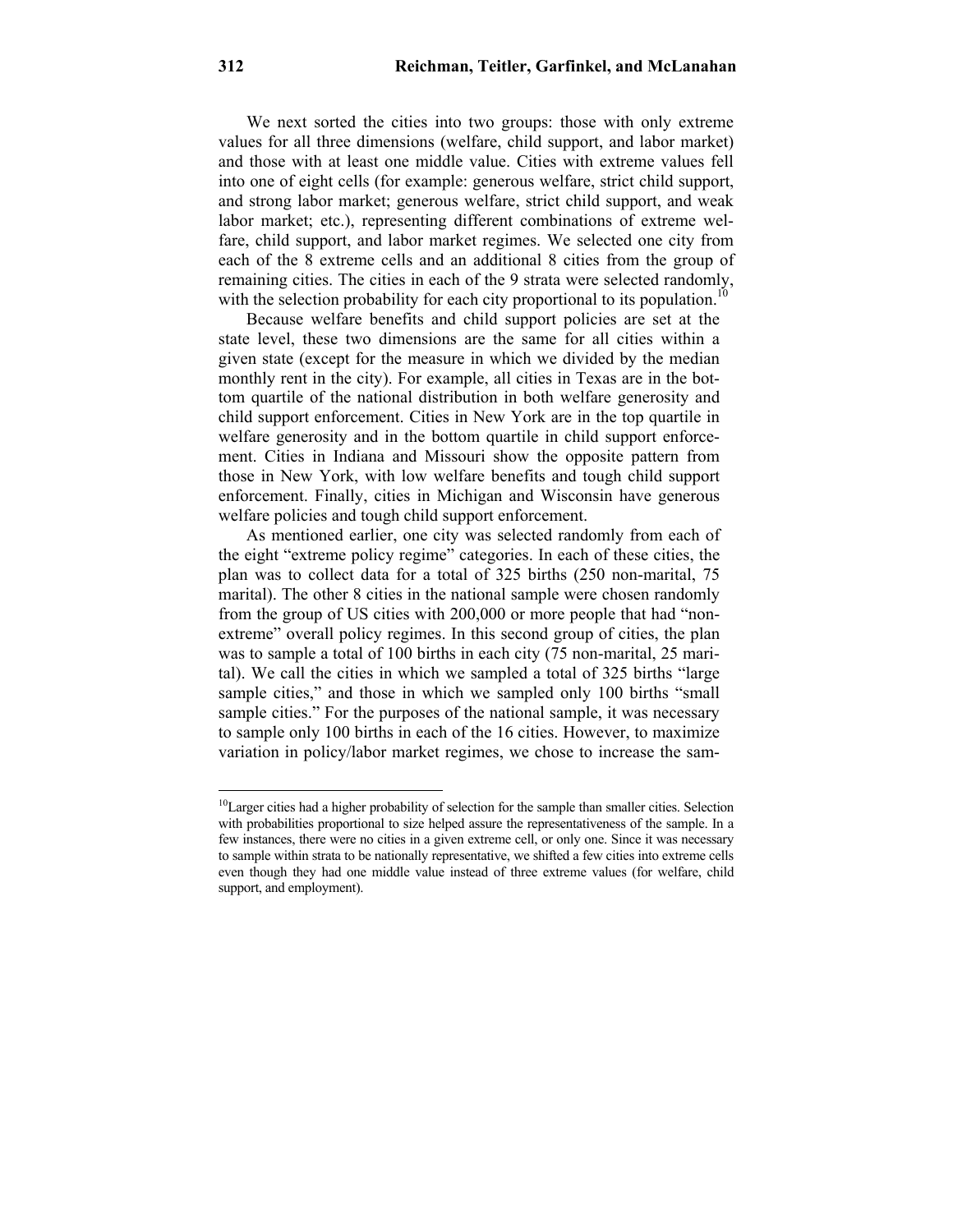We next sorted the cities into two groups: those with only extreme values for all three dimensions (welfare, child support, and labor market) and those with at least one middle value. Cities with extreme values fell into one of eight cells (for example: generous welfare, strict child support, and strong labor market; generous welfare, strict child support, and weak labor market; etc.), representing different combinations of extreme welfare, child support, and labor market regimes. We selected one city from each of the 8 extreme cells and an additional 8 cities from the group of remaining cities. The cities in each of the 9 strata were selected randomly, with the selection probability for each city proportional to its population.<sup>10</sup>

Because welfare benefits and child support policies are set at the state level, these two dimensions are the same for all cities within a given state (except for the measure in which we divided by the median monthly rent in the city). For example, all cities in Texas are in the bottom quartile of the national distribution in both welfare generosity and child support enforcement. Cities in New York are in the top quartile in welfare generosity and in the bottom quartile in child support enforcement. Cities in Indiana and Missouri show the opposite pattern from those in New York, with low welfare benefits and tough child support enforcement. Finally, cities in Michigan and Wisconsin have generous welfare policies and tough child support enforcement.

As mentioned earlier, one city was selected randomly from each of the eight "extreme policy regime" categories. In each of these cities, the plan was to collect data for a total of 325 births (250 non-marital, 75 marital). The other 8 cities in the national sample were chosen randomly from the group of US cities with 200,000 or more people that had "nonextreme" overall policy regimes. In this second group of cities, the plan was to sample a total of 100 births in each city (75 non-marital, 25 marital). We call the cities in which we sampled a total of 325 births "large sample cities," and those in which we sampled only 100 births "small" sample cities." For the purposes of the national sample, it was necessary to sample only 100 births in each of the 16 cities. However, to maximize variation in policy/labor market regimes, we chose to increase the sam-

<span id="page-9-0"></span><sup>&</sup>lt;sup>10</sup>Larger cities had a higher probability of selection for the sample than smaller cities. Selection with probabilities proportional to size helped assure the representativeness of the sample. In a few instances, there were no cities in a given extreme cell, or only one. Since it was necessary to sample within strata to be nationally representative, we shifted a few cities into extreme cells even though they had one middle value instead of three extreme values (for welfare, child support, and employment).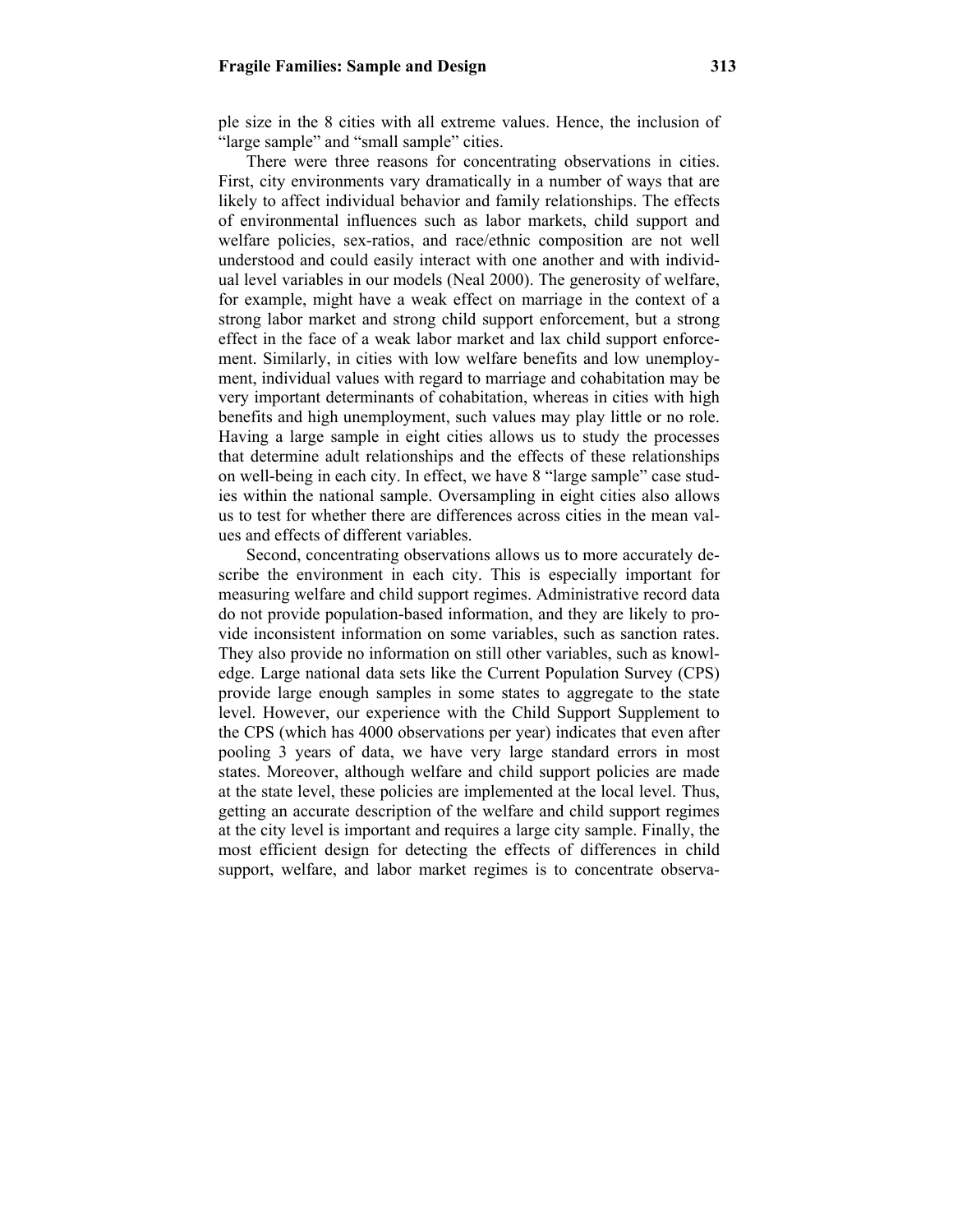ple size in the 8 cities with all extreme values. Hence, the inclusion of "large sample" and "small sample" cities.

There were three reasons for concentrating observations in cities. First, city environments vary dramatically in a number of ways that are likely to affect individual behavior and family relationships. The effects of environmental influences such as labor markets, child support and welfare policies, sex-ratios, and race/ethnic composition are not well understood and could easily interact with one another and with individual level variables in our models (Neal 2000). The generosity of welfare, for example, might have a weak effect on marriage in the context of a strong labor market and strong child support enforcement, but a strong effect in the face of a weak labor market and lax child support enforcement. Similarly, in cities with low welfare benefits and low unemployment, individual values with regard to marriage and cohabitation may be very important determinants of cohabitation, whereas in cities with high benefits and high unemployment, such values may play little or no role. Having a large sample in eight cities allows us to study the processes that determine adult relationships and the effects of these relationships on well-being in each city. In effect, we have 8 "large sample" case studies within the national sample. Oversampling in eight cities also allows us to test for whether there are differences across cities in the mean values and effects of different variables.

Second, concentrating observations allows us to more accurately describe the environment in each city. This is especially important for measuring welfare and child support regimes. Administrative record data do not provide population-based information, and they are likely to provide inconsistent information on some variables, such as sanction rates. They also provide no information on still other variables, such as knowledge. Large national data sets like the Current Population Survey (CPS) provide large enough samples in some states to aggregate to the state level. However, our experience with the Child Support Supplement to the CPS (which has 4000 observations per year) indicates that even after pooling 3 years of data, we have very large standard errors in most states. Moreover, although welfare and child support policies are made at the state level, these policies are implemented at the local level. Thus, getting an accurate description of the welfare and child support regimes at the city level is important and requires a large city sample. Finally, the most efficient design for detecting the effects of differences in child support, welfare, and labor market regimes is to concentrate observa-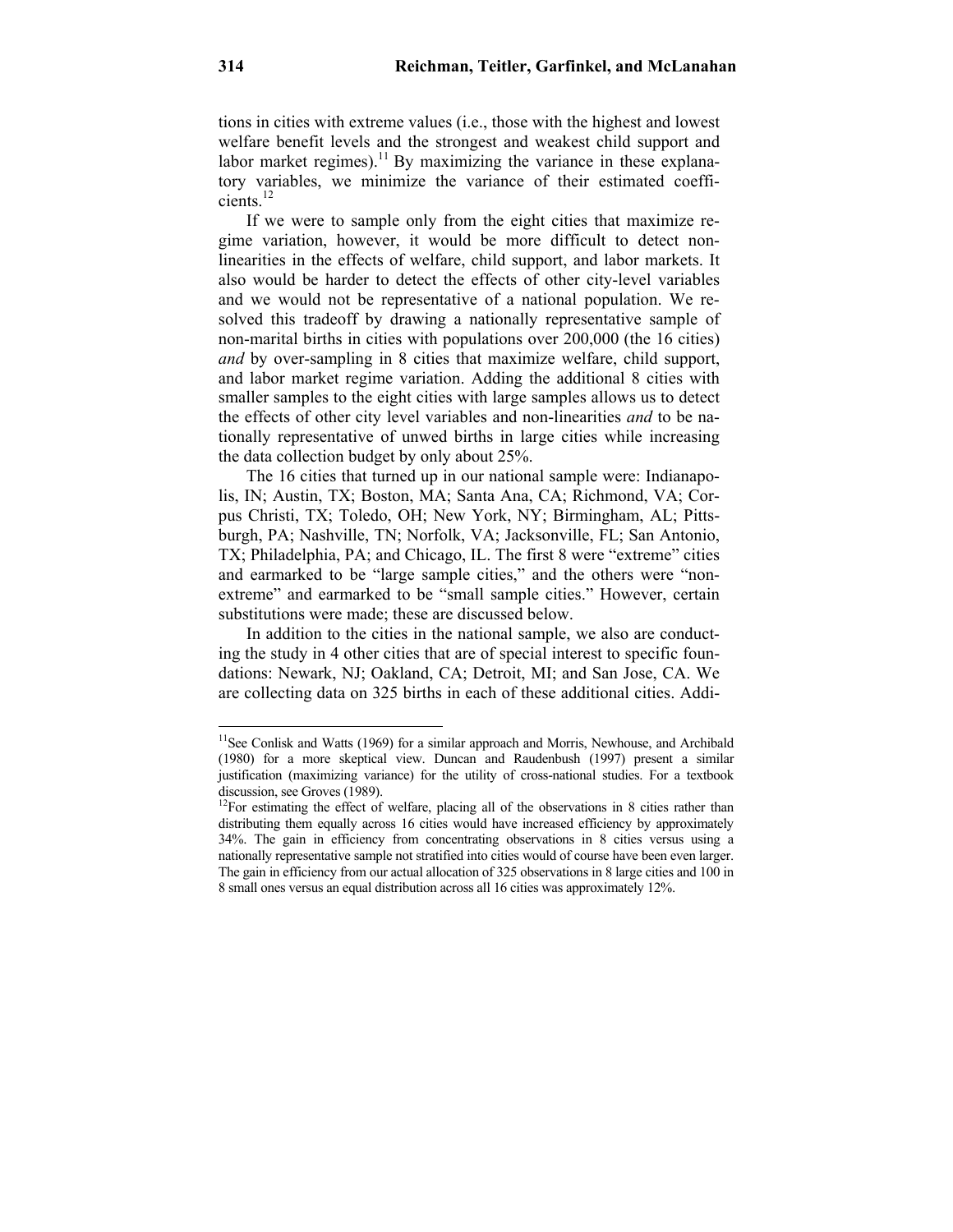tions in cities with extreme values (i.e., those with the highest and lowest welfare benefit levels and the strongest and weakest child support and labor market regimes).<sup>11</sup> By maximizing the variance in these explanatory variables, we minimize the variance of their estimated coefficients.[12](#page-11-1)

If we were to sample only from the eight cities that maximize regime variation, however, it would be more difficult to detect nonlinearities in the effects of welfare, child support, and labor markets. It also would be harder to detect the effects of other city-level variables and we would not be representative of a national population. We resolved this tradeoff by drawing a nationally representative sample of non-marital births in cities with populations over 200,000 (the 16 cities) *and* by over-sampling in 8 cities that maximize welfare, child support, and labor market regime variation. Adding the additional 8 cities with smaller samples to the eight cities with large samples allows us to detect the effects of other city level variables and non-linearities *and* to be nationally representative of unwed births in large cities while increasing the data collection budget by only about 25%.

The 16 cities that turned up in our national sample were: Indianapolis, IN; Austin, TX; Boston, MA; Santa Ana, CA; Richmond, VA; Corpus Christi, TX; Toledo, OH; New York, NY; Birmingham, AL; Pittsburgh, PA; Nashville, TN; Norfolk, VA; Jacksonville, FL; San Antonio, TX; Philadelphia, PA; and Chicago, IL. The first 8 were "extreme" cities and earmarked to be "large sample cities," and the others were "nonextreme" and earmarked to be "small sample cities." However, certain substitutions were made; these are discussed below.

In addition to the cities in the national sample, we also are conducting the study in 4 other cities that are of special interest to specific foundations: Newark, NJ; Oakland, CA; Detroit, MI; and San Jose, CA. We are collecting data on 325 births in each of these additional cities. Addi-

<sup>&</sup>lt;sup>11</sup>See Conlisk and Watts (1969) for a similar approach and Morris, Newhouse, and Archibald (1980) for a more skeptical view. Duncan and Raudenbush (1997) present a similar justification (maximizing variance) for the utility of cross-national studies. For a textbook discussion, see Groves (1989).

<span id="page-11-1"></span><span id="page-11-0"></span><sup>&</sup>lt;sup>12</sup>For estimating the effect of welfare, placing all of the observations in 8 cities rather than distributing them equally across 16 cities would have increased efficiency by approximately 34%. The gain in efficiency from concentrating observations in 8 cities versus using a nationally representative sample not stratified into cities would of course have been even larger. The gain in efficiency from our actual allocation of 325 observations in 8 large cities and 100 in 8 small ones versus an equal distribution across all 16 cities was approximately 12%.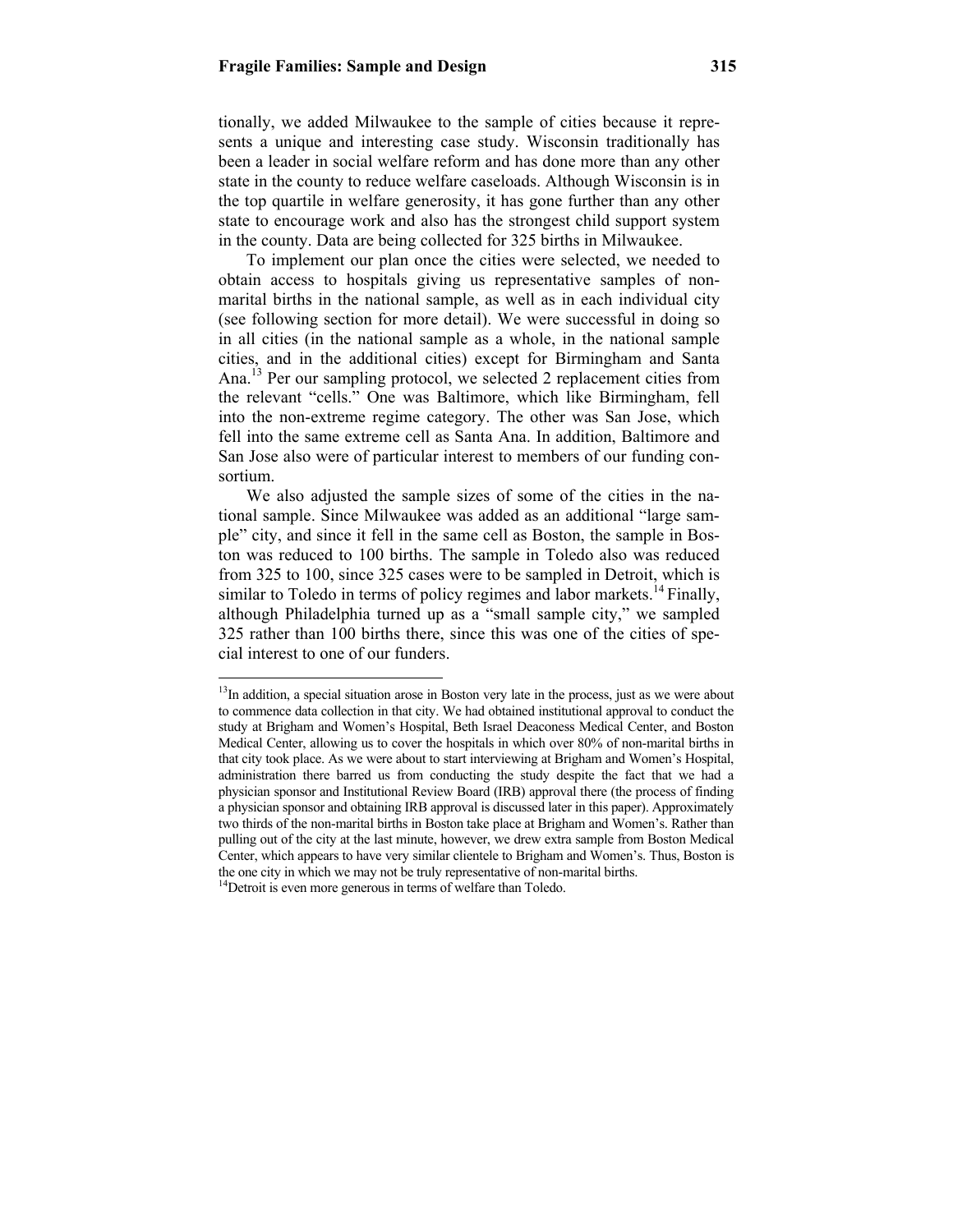#### **Fragile Families: Sample and Design 315**

 $\overline{a}$ 

tionally, we added Milwaukee to the sample of cities because it represents a unique and interesting case study. Wisconsin traditionally has been a leader in social welfare reform and has done more than any other state in the county to reduce welfare caseloads. Although Wisconsin is in the top quartile in welfare generosity, it has gone further than any other state to encourage work and also has the strongest child support system in the county. Data are being collected for 325 births in Milwaukee.

To implement our plan once the cities were selected, we needed to obtain access to hospitals giving us representative samples of nonmarital births in the national sample, as well as in each individual city (see following section for more detail). We were successful in doing so in all cities (in the national sample as a whole, in the national sample cities, and in the additional cities) except for Birmingham and Santa Ana.<sup>13</sup> Per our sampling protocol, we selected 2 replacement cities from the relevant "cells." One was Baltimore, which like Birmingham, fell into the non-extreme regime category. The other was San Jose, which fell into the same extreme cell as Santa Ana. In addition, Baltimore and San Jose also were of particular interest to members of our funding consortium.

We also adjusted the sample sizes of some of the cities in the national sample. Since Milwaukee was added as an additional "large sample" city, and since it fell in the same cell as Boston, the sample in Boston was reduced to 100 births. The sample in Toledo also was reduced from 325 to 100, since 325 cases were to be sampled in Detroit, which is similar to Toledo in terms of policy regimes and labor markets.<sup>14</sup> Finally, although Philadelphia turned up as a "small sample city," we sampled 325 rather than 100 births there, since this was one of the cities of special interest to one of our funders.

<span id="page-12-1"></span><span id="page-12-0"></span><sup>&</sup>lt;sup>13</sup>In addition, a special situation arose in Boston very late in the process, just as we were about to commence data collection in that city. We had obtained institutional approval to conduct the study at Brigham and Women's Hospital, Beth Israel Deaconess Medical Center, and Boston Medical Center, allowing us to cover the hospitals in which over 80% of non-marital births in that city took place. As we were about to start interviewing at Brigham and Women's Hospital, administration there barred us from conducting the study despite the fact that we had a physician sponsor and Institutional Review Board (IRB) approval there (the process of finding a physician sponsor and obtaining IRB approval is discussed later in this paper). Approximately two thirds of the non-marital births in Boston take place at Brigham and Women's. Rather than pulling out of the city at the last minute, however, we drew extra sample from Boston Medical Center, which appears to have very similar clientele to Brigham and Women's. Thus, Boston is the one city in which we may not be truly representative of non-marital births. 14Detroit is even more generous in terms of welfare than Toledo.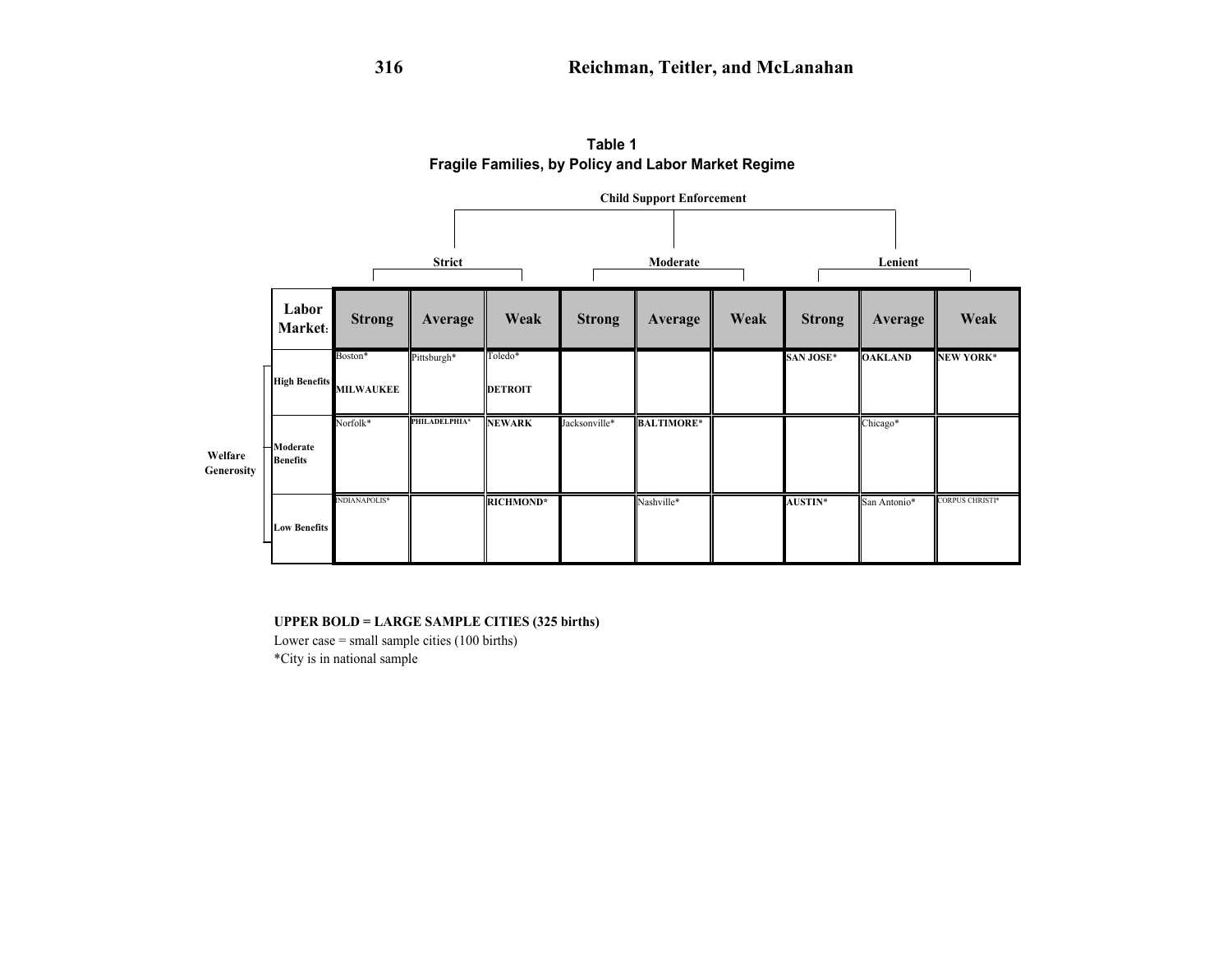|                       |                                    | <b>Child Support Enforcement</b> |               |                           |               |                   |      |                  |                |                        |
|-----------------------|------------------------------------|----------------------------------|---------------|---------------------------|---------------|-------------------|------|------------------|----------------|------------------------|
|                       |                                    | <b>Strict</b>                    |               |                           | Moderate      |                   |      | Lenient          |                |                        |
|                       | Labor<br>Market:                   | <b>Strong</b>                    | Average       | Weak                      | <b>Strong</b> | Average           | Weak | <b>Strong</b>    | Average        | Weak                   |
|                       | <b>High Benefits</b>               | Boston*<br><b>MILWAUKEE</b>      | Pittsburgh*   | Toledo*<br><b>DETROIT</b> |               |                   |      | <b>SAN JOSE*</b> | <b>OAKLAND</b> | <b>NEW YORK*</b>       |
| Welfare<br>Generosity | <b>Moderate</b><br><b>Benefits</b> | Norfolk*                         | PHILADELPHIA* | <b>NEWARK</b>             | Jacksonville* | <b>BALTIMORE*</b> |      |                  | Chicago*       |                        |
|                       | <b>Low Benefits</b>                | INDIANAPOLIS*                    |               | RICHMOND*                 |               | Nashville*        |      | <b>AUSTIN*</b>   | San Antonio*   | <b>CORPUS CHRISTI*</b> |

**Table 1Fragile Families, by Policy and Labor Market Regime**

# **UPPER BOLD = LARGE SAMPLE CITIES (325 births)**

Lower case = small sample cities (100 births)

\*City is in national sample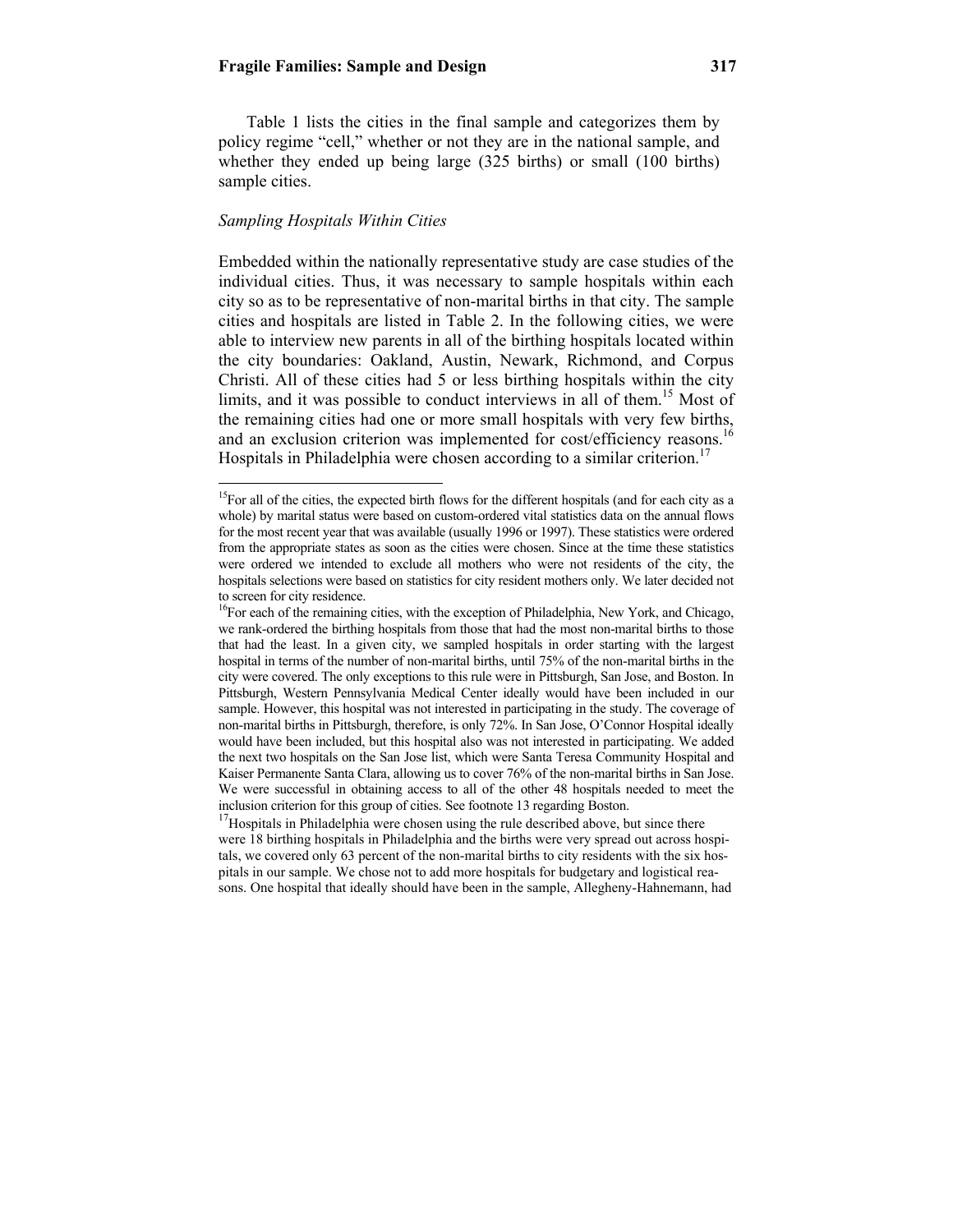Table 1 lists the cities in the final sample and categorizes them by policy regime "cell," whether or not they are in the national sample, and whether they ended up being large (325 births) or small (100 births) sample cities.

#### *Sampling Hospitals Within Cities*

 $\overline{a}$ 

<span id="page-14-2"></span>Embedded within the nationally representative study are case studies of the individual cities. Thus, it was necessary to sample hospitals within each city so as to be representative of non-marital births in that city. The sample cities and hospitals are listed in Table 2. In the following cities, we were able to interview new parents in all of the birthing hospitals located within the city boundaries: Oakland, Austin, Newark, Richmond, and Corpus Christi. All of these cities had 5 or less birthing hospitals within the city limits, and it was possible to conduct interviews in all of them.<sup>15</sup> Most of the remaining cities had one or more small hospitals with very few births, and an exclusion criterion was implemented for cost/efficiency reasons.<sup>16</sup> Hospitals in Philadelphia were chosen according to a similar criterion.<sup>17</sup>

<span id="page-14-1"></span><span id="page-14-0"></span>were 18 birthing hospitals in Philadelphia and the births were very spread out across hospitals, we covered only 63 percent of the non-marital births to city residents with the six hospitals in our sample. We chose not to add more hospitals for budgetary and logistical reasons. One hospital that ideally should have been in the sample, Allegheny-Hahnemann, had

<sup>&</sup>lt;sup>15</sup>For all of the cities, the expected birth flows for the different hospitals (and for each city as a whole) by marital status were based on custom-ordered vital statistics data on the annual flows for the most recent year that was available (usually 1996 or 1997). These statistics were ordered from the appropriate states as soon as the cities were chosen. Since at the time these statistics were ordered we intended to exclude all mothers who were not residents of the city, the hospitals selections were based on statistics for city resident mothers only. We later decided not to screen for city residence.

 $16$ For each of the remaining cities, with the exception of Philadelphia, New York, and Chicago, we rank-ordered the birthing hospitals from those that had the most non-marital births to those that had the least. In a given city, we sampled hospitals in order starting with the largest hospital in terms of the number of non-marital births, until 75% of the non-marital births in the city were covered. The only exceptions to this rule were in Pittsburgh, San Jose, and Boston. In Pittsburgh, Western Pennsylvania Medical Center ideally would have been included in our sample. However, this hospital was not interested in participating in the study. The coverage of non-marital births in Pittsburgh, therefore, is only 72%. In San Jose, O'Connor Hospital ideally would have been included, but this hospital also was not interested in participating. We added the next two hospitals on the San Jose list, which were Santa Teresa Community Hospital and Kaiser Permanente Santa Clara, allowing us to cover 76% of the non-marital births in San Jose. We were successful in obtaining access to all of the other 48 hospitals needed to meet the inclusion criterion for this group of cities. See footnote 13 regarding Boston.  $17$ Hospitals in Philadelphia were chosen using the rule described above, but since there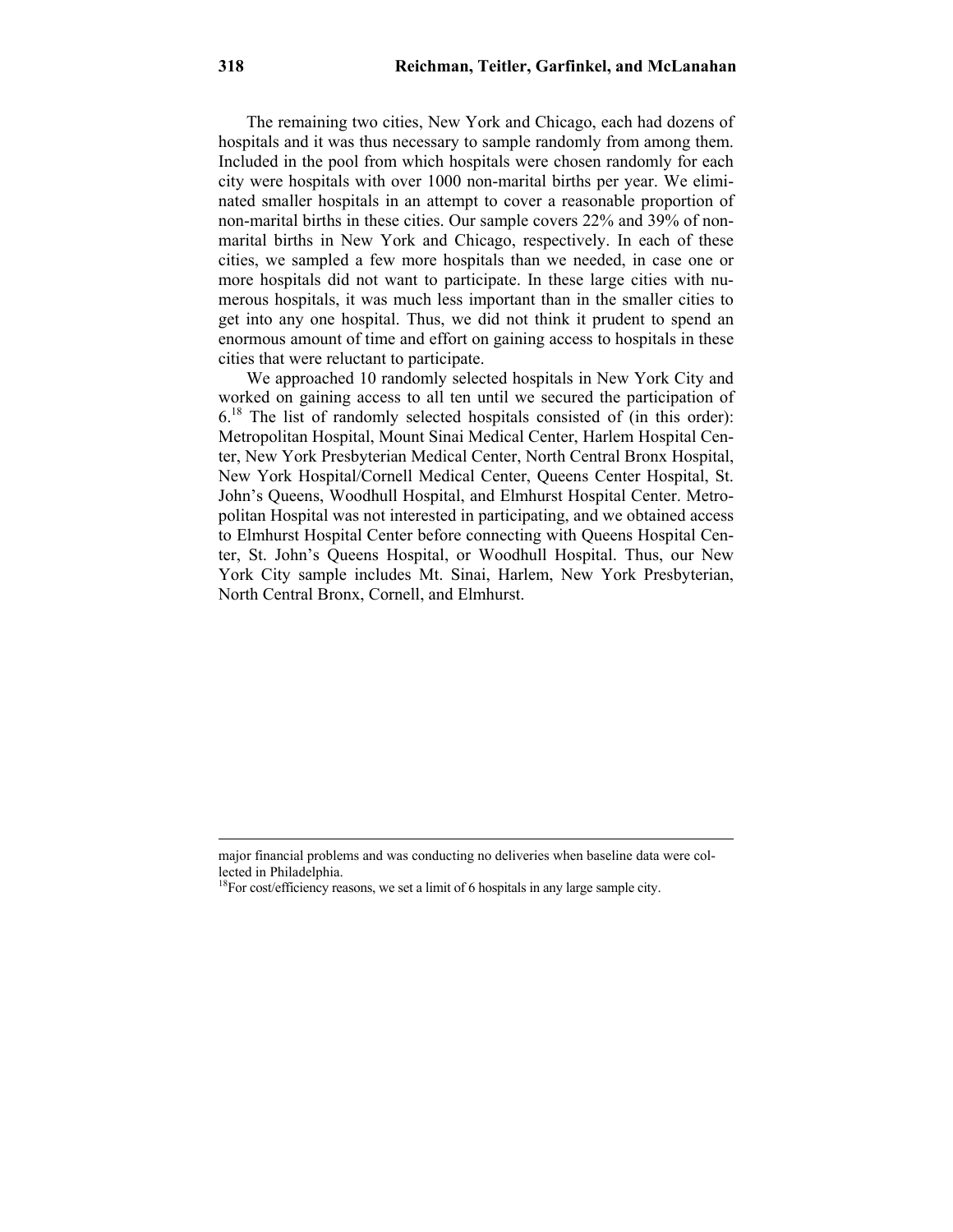The remaining two cities, New York and Chicago, each had dozens of hospitals and it was thus necessary to sample randomly from among them. Included in the pool from which hospitals were chosen randomly for each city were hospitals with over 1000 non-marital births per year. We eliminated smaller hospitals in an attempt to cover a reasonable proportion of non-marital births in these cities. Our sample covers 22% and 39% of nonmarital births in New York and Chicago, respectively. In each of these cities, we sampled a few more hospitals than we needed, in case one or more hospitals did not want to participate. In these large cities with numerous hospitals, it was much less important than in the smaller cities to get into any one hospital. Thus, we did not think it prudent to spend an enormous amount of time and effort on gaining access to hospitals in these cities that were reluctant to participate.

We approached 10 randomly selected hospitals in New York City and worked on gaining access to all ten until we secured the participation of 6.[18](#page-15-0) The list of randomly selected hospitals consisted of (in this order): Metropolitan Hospital, Mount Sinai Medical Center, Harlem Hospital Center, New York Presbyterian Medical Center, North Central Bronx Hospital, New York Hospital/Cornell Medical Center, Queens Center Hospital, St. John's Queens, Woodhull Hospital, and Elmhurst Hospital Center. Metropolitan Hospital was not interested in participating, and we obtained access to Elmhurst Hospital Center before connecting with Queens Hospital Center, St. John's Queens Hospital, or Woodhull Hospital. Thus, our New York City sample includes Mt. Sinai, Harlem, New York Presbyterian, North Central Bronx, Cornell, and Elmhurst.

major financial problems and was conducting no deliveries when baseline data were collected in Philadelphia.

<span id="page-15-0"></span> $18$ For cost/efficiency reasons, we set a limit of 6 hospitals in any large sample city.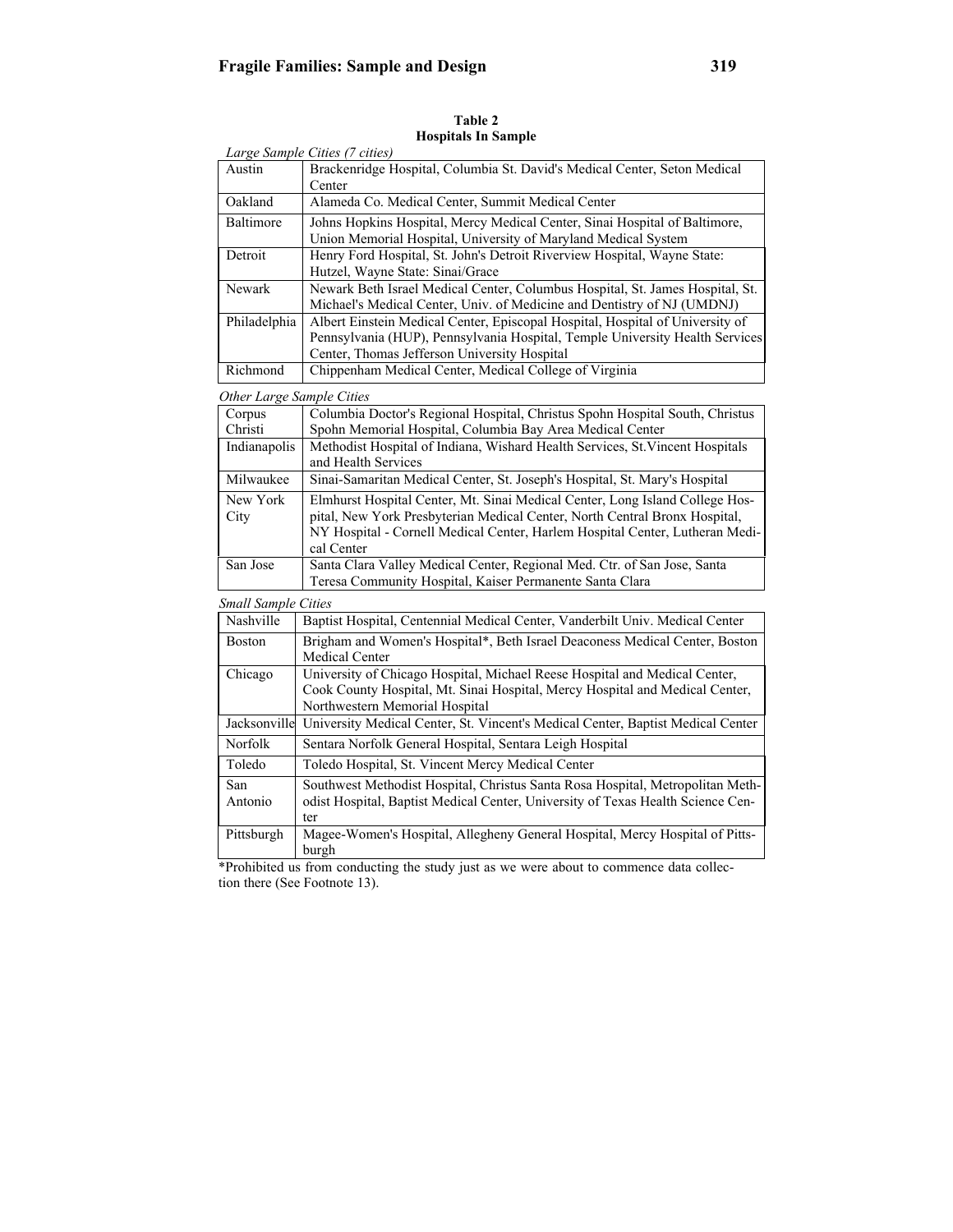|                                           | Large Sample Cities (7 cities)                                                                                                                                                                                |  |  |  |  |  |
|-------------------------------------------|---------------------------------------------------------------------------------------------------------------------------------------------------------------------------------------------------------------|--|--|--|--|--|
| Austin                                    | Brackenridge Hospital, Columbia St. David's Medical Center, Seton Medical                                                                                                                                     |  |  |  |  |  |
|                                           | Center                                                                                                                                                                                                        |  |  |  |  |  |
| Oakland                                   | Alameda Co. Medical Center, Summit Medical Center                                                                                                                                                             |  |  |  |  |  |
| Baltimore                                 | Johns Hopkins Hospital, Mercy Medical Center, Sinai Hospital of Baltimore,<br>Union Memorial Hospital, University of Maryland Medical System                                                                  |  |  |  |  |  |
| Detroit                                   | Henry Ford Hospital, St. John's Detroit Riverview Hospital, Wayne State:<br>Hutzel, Wayne State: Sinai/Grace                                                                                                  |  |  |  |  |  |
| Newark                                    | Newark Beth Israel Medical Center, Columbus Hospital, St. James Hospital, St.<br>Michael's Medical Center, Univ. of Medicine and Dentistry of NJ (UMDNJ)                                                      |  |  |  |  |  |
| Philadelphia                              | Albert Einstein Medical Center, Episcopal Hospital, Hospital of University of<br>Pennsylvania (HUP), Pennsylvania Hospital, Temple University Health Services<br>Center, Thomas Jefferson University Hospital |  |  |  |  |  |
| Richmond                                  | Chippenham Medical Center, Medical College of Virginia                                                                                                                                                        |  |  |  |  |  |
| Other Large Sample Cities                 |                                                                                                                                                                                                               |  |  |  |  |  |
| Corpus<br>Christi                         | Columbia Doctor's Regional Hospital, Christus Spohn Hospital South, Christus<br>Spohn Memorial Hospital, Columbia Bay Area Medical Center                                                                     |  |  |  |  |  |
| Indianapolis                              | Methodist Hospital of Indiana, Wishard Health Services, St. Vincent Hospitals<br>and Health Services                                                                                                          |  |  |  |  |  |
| Milwaukee                                 | Sinai-Samaritan Medical Center, St. Joseph's Hospital, St. Mary's Hospital                                                                                                                                    |  |  |  |  |  |
| New York                                  | Elmhurst Hospital Center, Mt. Sinai Medical Center, Long Island College Hos-                                                                                                                                  |  |  |  |  |  |
| City                                      | pital, New York Presbyterian Medical Center, North Central Bronx Hospital,<br>NY Hospital - Cornell Medical Center, Harlem Hospital Center, Lutheran Medi-<br>cal Center                                      |  |  |  |  |  |
| San Jose                                  | Santa Clara Valley Medical Center, Regional Med. Ctr. of San Jose, Santa<br>Teresa Community Hospital, Kaiser Permanente Santa Clara                                                                          |  |  |  |  |  |
| <b>Small Sample Cities</b>                |                                                                                                                                                                                                               |  |  |  |  |  |
| Nashville                                 | Baptist Hospital, Centennial Medical Center, Vanderbilt Univ. Medical Center                                                                                                                                  |  |  |  |  |  |
| <b>Boston</b>                             | Brigham and Women's Hospital*, Beth Israel Deaconess Medical Center, Boston<br>Medical Center                                                                                                                 |  |  |  |  |  |
| Chicago                                   | University of Chicago Hospital, Michael Reese Hospital and Medical Center,<br>Cook County Hospital, Mt. Sinai Hospital, Mercy Hospital and Medical Center,<br>Northwestern Memorial Hospital                  |  |  |  |  |  |
| Jacksonville                              | University Medical Center, St. Vincent's Medical Center, Baptist Medical Center                                                                                                                               |  |  |  |  |  |
| Norfolk                                   | Sentara Norfolk General Hospital, Sentara Leigh Hospital                                                                                                                                                      |  |  |  |  |  |
| Toledo                                    | Toledo Hospital, St. Vincent Mercy Medical Center                                                                                                                                                             |  |  |  |  |  |
| San<br>Antonio                            | Southwest Methodist Hospital, Christus Santa Rosa Hospital, Metropolitan Meth-<br>odist Hospital, Baptist Medical Center, University of Texas Health Science Cen-<br>ter                                      |  |  |  |  |  |
| Pittsburgh<br>$*$ Dec 1. 11. $4 \times 1$ | Magee-Women's Hospital, Allegheny General Hospital, Mercy Hospital of Pitts-<br>burgh<br>$\sim$<br>$1 - 11 = 11$<br>called the career<br>$-1 - 1 = 1$<br>$1 - 4$<br>11                                        |  |  |  |  |  |

**Table 2 Hospitals In Sample** 

\*Prohibited us from conducting the study just as we were about to commence data collection there (See Footnote 13).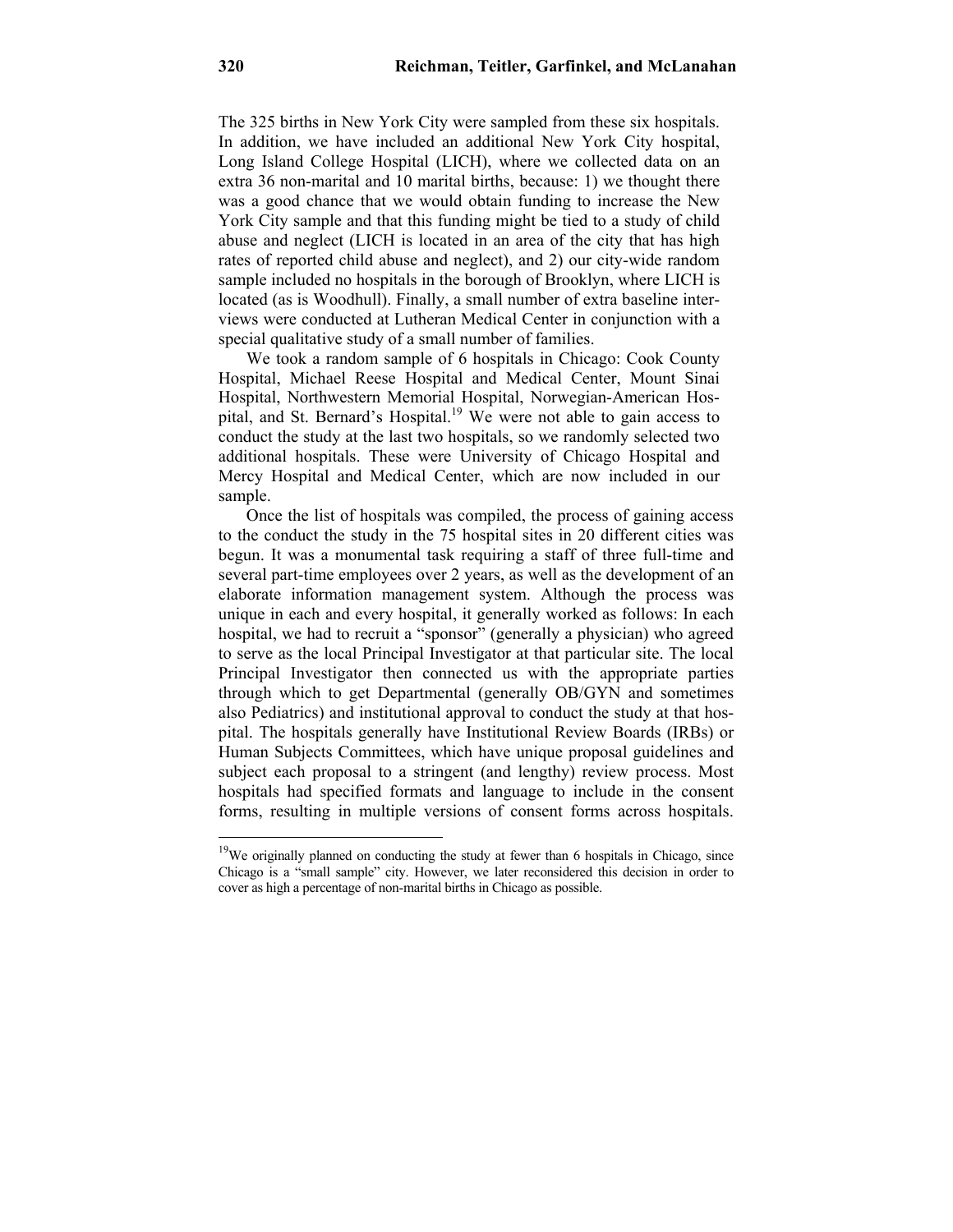The 325 births in New York City were sampled from these six hospitals. In addition, we have included an additional New York City hospital, Long Island College Hospital (LICH), where we collected data on an extra 36 non-marital and 10 marital births, because: 1) we thought there was a good chance that we would obtain funding to increase the New York City sample and that this funding might be tied to a study of child abuse and neglect (LICH is located in an area of the city that has high rates of reported child abuse and neglect), and 2) our city-wide random sample included no hospitals in the borough of Brooklyn, where LICH is located (as is Woodhull). Finally, a small number of extra baseline interviews were conducted at Lutheran Medical Center in conjunction with a special qualitative study of a small number of families.

We took a random sample of 6 hospitals in Chicago: Cook County Hospital, Michael Reese Hospital and Medical Center, Mount Sinai Hospital, Northwestern Memorial Hospital, Norwegian-American Hospital, and St. Bernard's Hospital.<sup>19</sup> We were not able to gain access to conduct the study at the last two hospitals, so we randomly selected two additional hospitals. These were University of Chicago Hospital and Mercy Hospital and Medical Center, which are now included in our sample.

Once the list of hospitals was compiled, the process of gaining access to the conduct the study in the 75 hospital sites in 20 different cities was begun. It was a monumental task requiring a staff of three full-time and several part-time employees over 2 years, as well as the development of an elaborate information management system. Although the process was unique in each and every hospital, it generally worked as follows: In each hospital, we had to recruit a "sponsor" (generally a physician) who agreed to serve as the local Principal Investigator at that particular site. The local Principal Investigator then connected us with the appropriate parties through which to get Departmental (generally OB/GYN and sometimes also Pediatrics) and institutional approval to conduct the study at that hospital. The hospitals generally have Institutional Review Boards (IRBs) or Human Subjects Committees, which have unique proposal guidelines and subject each proposal to a stringent (and lengthy) review process. Most hospitals had specified formats and language to include in the consent forms, resulting in multiple versions of consent forms across hospitals.

<span id="page-17-0"></span><sup>&</sup>lt;sup>19</sup>We originally planned on conducting the study at fewer than 6 hospitals in Chicago, since Chicago is a "small sample" city. However, we later reconsidered this decision in order to cover as high a percentage of non-marital births in Chicago as possible.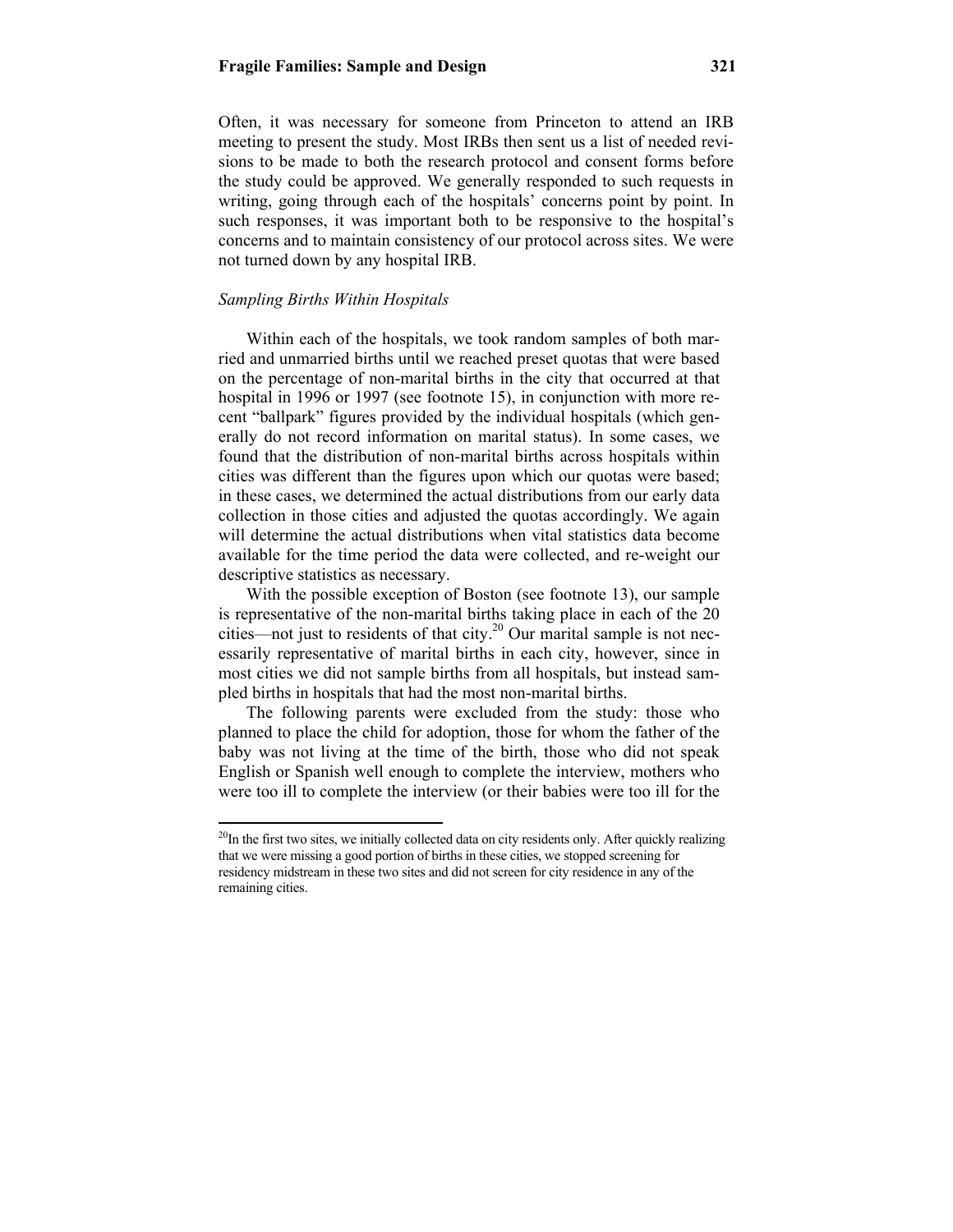Often, it was necessary for someone from Princeton to attend an IRB meeting to present the study. Most IRBs then sent us a list of needed revisions to be made to both the research protocol and consent forms before the study could be approved. We generally responded to such requests in writing, going through each of the hospitals' concerns point by point. In such responses, it was important both to be responsive to the hospital's concerns and to maintain consistency of our protocol across sites. We were not turned down by any hospital IRB.

# *Sampling Births Within Hospitals*

 $\overline{a}$ 

Within each of the hospitals, we took random samples of both married and unmarried births until we reached preset quotas that were based on the percentage of non-marital births in the city that occurred at that hospital in 1996 or 1997 (see footnote 15), in conjunction with more recent "ballpark" figures provided by the individual hospitals (which generally do not record information on marital status). In some cases, we found that the distribution of non-marital births across hospitals within cities was different than the figures upon which our quotas were based; in these cases, we determined the actual distributions from our early data collection in those cities and adjusted the quotas accordingly. We again will determine the actual distributions when vital statistics data become available for the time period the data were collected, and re-weight our descriptive statistics as necessary.

With the possible exception of Boston (see footnote 13), our sample is representative of the non-marital births taking place in each of the 20 cities—not just to residents of that city.<sup>20</sup> Our marital sample is not necessarily representative of marital births in each city, however, since in most cities we did not sample births from all hospitals, but instead sampled births in hospitals that had the most non-marital births.

The following parents were excluded from the study: those who planned to place the child for adoption, those for whom the father of the baby was not living at the time of the birth, those who did not speak English or Spanish well enough to complete the interview, mothers who were too ill to complete the interview (or their babies were too ill for the

<span id="page-18-0"></span><sup>&</sup>lt;sup>20</sup>In the first two sites, we initially collected data on city residents only. After quickly realizing that we were missing a good portion of births in these cities, we stopped screening for residency midstream in these two sites and did not screen for city residence in any of the remaining cities.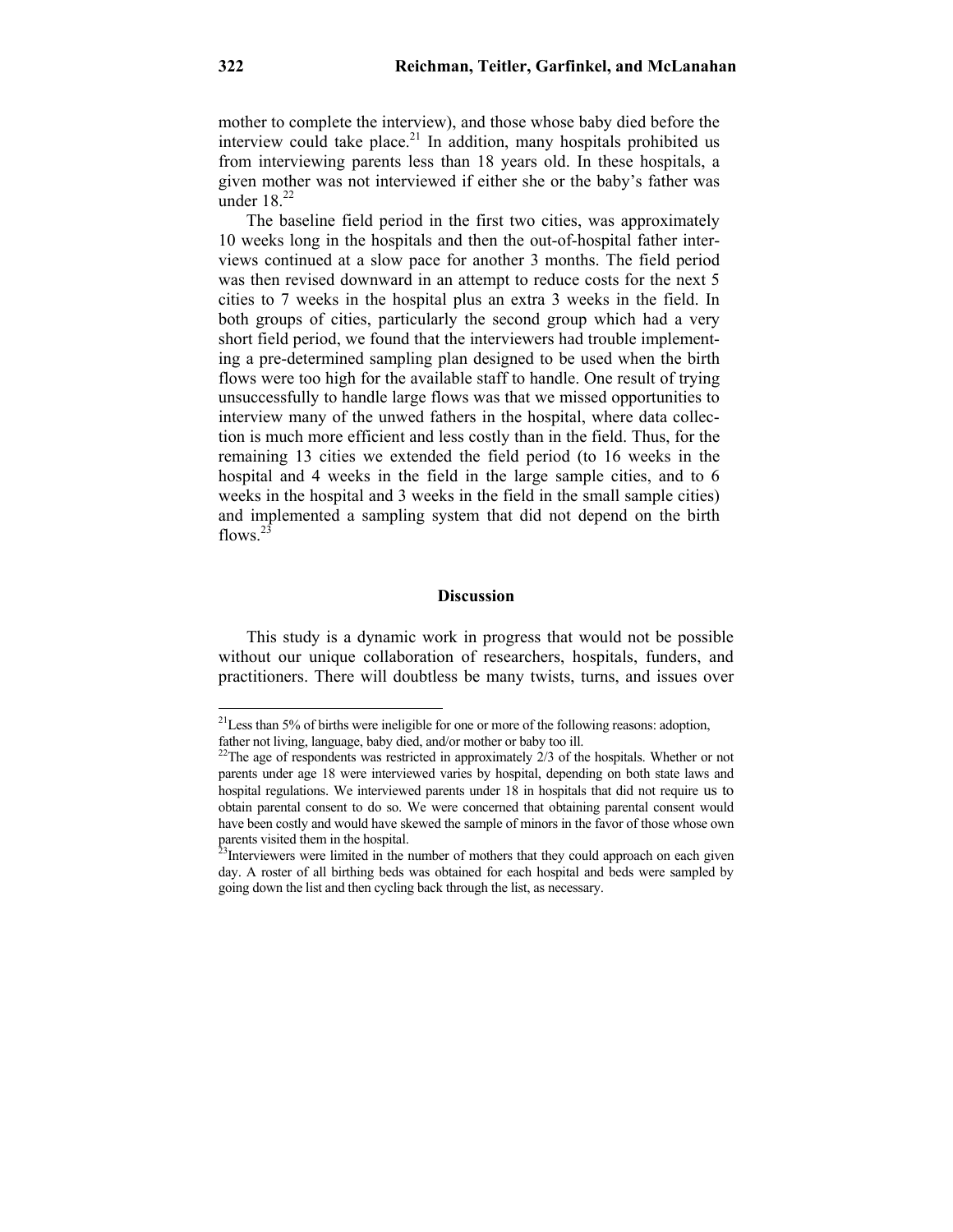mother to complete the interview), and those whose baby died before the interview could take place.<sup>21</sup> In addition, many hospitals prohibited us from interviewing parents less than 18 years old. In these hospitals, a given mother was not interviewed if either she or the baby's father was under  $18.<sup>22</sup>$ 

The baseline field period in the first two cities, was approximately 10 weeks long in the hospitals and then the out-of-hospital father interviews continued at a slow pace for another 3 months. The field period was then revised downward in an attempt to reduce costs for the next 5 cities to 7 weeks in the hospital plus an extra 3 weeks in the field. In both groups of cities, particularly the second group which had a very short field period, we found that the interviewers had trouble implementing a pre-determined sampling plan designed to be used when the birth flows were too high for the available staff to handle. One result of trying unsuccessfully to handle large flows was that we missed opportunities to interview many of the unwed fathers in the hospital, where data collection is much more efficient and less costly than in the field. Thus, for the remaining 13 cities we extended the field period (to 16 weeks in the hospital and 4 weeks in the field in the large sample cities, and to 6 weeks in the hospital and 3 weeks in the field in the small sample cities) and implemented a sampling system that did not depend on the birth flows. $23$ 

#### **Discussion**

This study is a dynamic work in progress that would not be possible without our unique collaboration of researchers, hospitals, funders, and practitioners. There will doubtless be many twists, turns, and issues over

 $2^{1}$  Less than 5% of births were ineligible for one or more of the following reasons: adoption, father not living, language, baby died, and/or mother or baby too ill.

 $22$ The age of respondents was restricted in approximately  $2/3$  of the hospitals. Whether or not parents under age 18 were interviewed varies by hospital, depending on both state laws and hospital regulations. We interviewed parents under 18 in hospitals that did not require us to obtain parental consent to do so. We were concerned that obtaining parental consent would have been costly and would have skewed the sample of minors in the favor of those whose own parents visited them in the hospital.

<span id="page-19-2"></span><span id="page-19-1"></span><span id="page-19-0"></span> $3$ Interviewers were limited in the number of mothers that they could approach on each given day. A roster of all birthing beds was obtained for each hospital and beds were sampled by going down the list and then cycling back through the list, as necessary.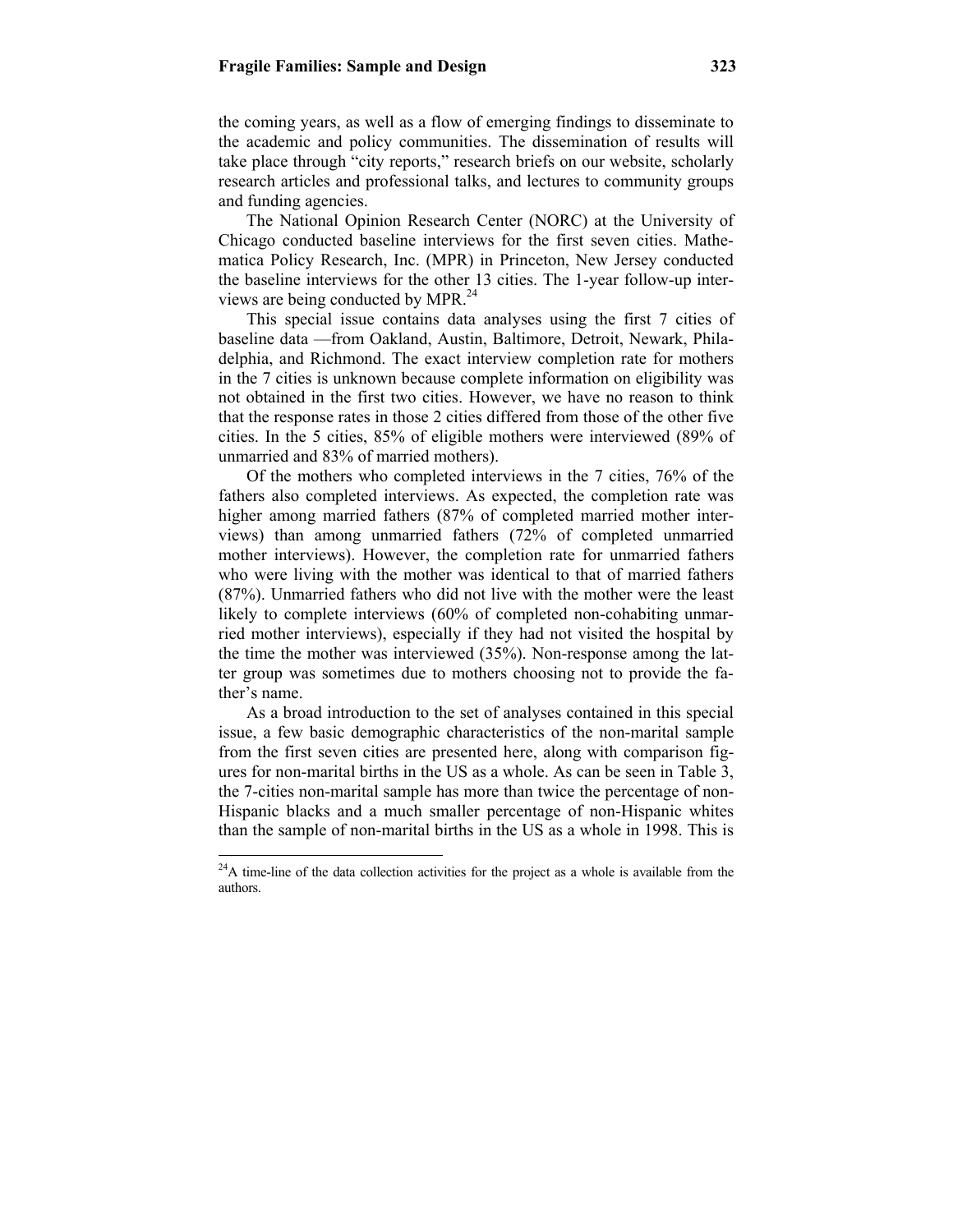#### **Fragile Families: Sample and Design 323**

the coming years, as well as a flow of emerging findings to disseminate to the academic and policy communities. The dissemination of results will take place through "city reports," research briefs on our website, scholarly research articles and professional talks, and lectures to community groups and funding agencies.

The National Opinion Research Center (NORC) at the University of Chicago conducted baseline interviews for the first seven cities. Mathematica Policy Research, Inc. (MPR) in Princeton, New Jersey conducted the baseline interviews for the other 13 cities. The 1-year follow-up interviews are being conducted by MPR.<sup>24</sup>

This special issue contains data analyses using the first 7 cities of baseline data —from Oakland, Austin, Baltimore, Detroit, Newark, Philadelphia, and Richmond. The exact interview completion rate for mothers in the 7 cities is unknown because complete information on eligibility was not obtained in the first two cities. However, we have no reason to think that the response rates in those 2 cities differed from those of the other five cities. In the 5 cities, 85% of eligible mothers were interviewed (89% of unmarried and 83% of married mothers).

Of the mothers who completed interviews in the 7 cities, 76% of the fathers also completed interviews. As expected, the completion rate was higher among married fathers (87% of completed married mother interviews) than among unmarried fathers (72% of completed unmarried mother interviews). However, the completion rate for unmarried fathers who were living with the mother was identical to that of married fathers (87%). Unmarried fathers who did not live with the mother were the least likely to complete interviews (60% of completed non-cohabiting unmarried mother interviews), especially if they had not visited the hospital by the time the mother was interviewed (35%). Non-response among the latter group was sometimes due to mothers choosing not to provide the father's name.

As a broad introduction to the set of analyses contained in this special issue, a few basic demographic characteristics of the non-marital sample from the first seven cities are presented here, along with comparison figures for non-marital births in the US as a whole. As can be seen in Table 3, the 7-cities non-marital sample has more than twice the percentage of non-Hispanic blacks and a much smaller percentage of non-Hispanic whites than the sample of non-marital births in the US as a whole in 1998. This is

<span id="page-20-0"></span> $^{24}$ A time-line of the data collection activities for the project as a whole is available from the authors.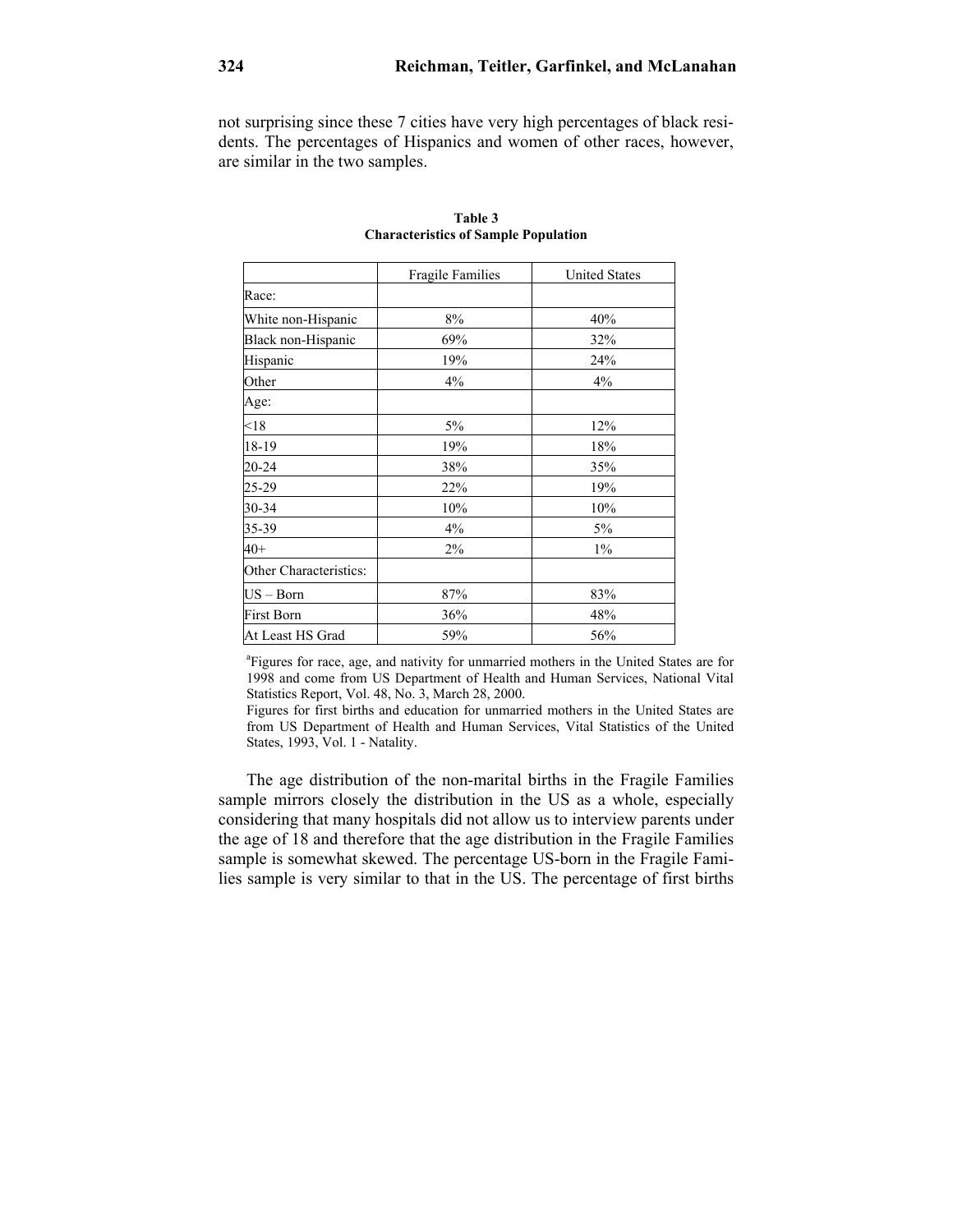not surprising since these 7 cities have very high percentages of black residents. The percentages of Hispanics and women of other races, however, are similar in the two samples.

|                        | <b>Fragile Families</b> | <b>United States</b> |
|------------------------|-------------------------|----------------------|
| Race:                  |                         |                      |
| White non-Hispanic     | 8%                      | 40%                  |
| Black non-Hispanic     | 69%                     | 32%                  |
| Hispanic               | 19%                     | 24%                  |
| Other                  | 4%                      | 4%                   |
| Age:                   |                         |                      |
| < 18                   | 5%                      | 12%                  |
| 18-19                  | 19%                     | 18%                  |
| 20-24                  | 38%                     | 35%                  |
| 25-29                  | 22%                     | 19%                  |
| 30-34                  | 10%                     | 10%                  |
| 35-39                  | 4%                      | 5%                   |
| $40+$                  | 2%                      | $1\%$                |
| Other Characteristics: |                         |                      |
| $US - Born$            | 87%                     | 83%                  |
| First Born             | 36%                     | 48%                  |
| At Least HS Grad       | 59%                     | 56%                  |

**Table 3 Characteristics of Sample Population** 

<sup>a</sup>Figures for race, age, and nativity for unmarried mothers in the United States are for 1998 and come from US Department of Health and Human Services, National Vital Statistics Report, Vol. 48, No. 3, March 28, 2000.

Figures for first births and education for unmarried mothers in the United States are from US Department of Health and Human Services, Vital Statistics of the United States, 1993, Vol. 1 - Natality.

The age distribution of the non-marital births in the Fragile Families sample mirrors closely the distribution in the US as a whole, especially considering that many hospitals did not allow us to interview parents under the age of 18 and therefore that the age distribution in the Fragile Families sample is somewhat skewed. The percentage US-born in the Fragile Families sample is very similar to that in the US. The percentage of first births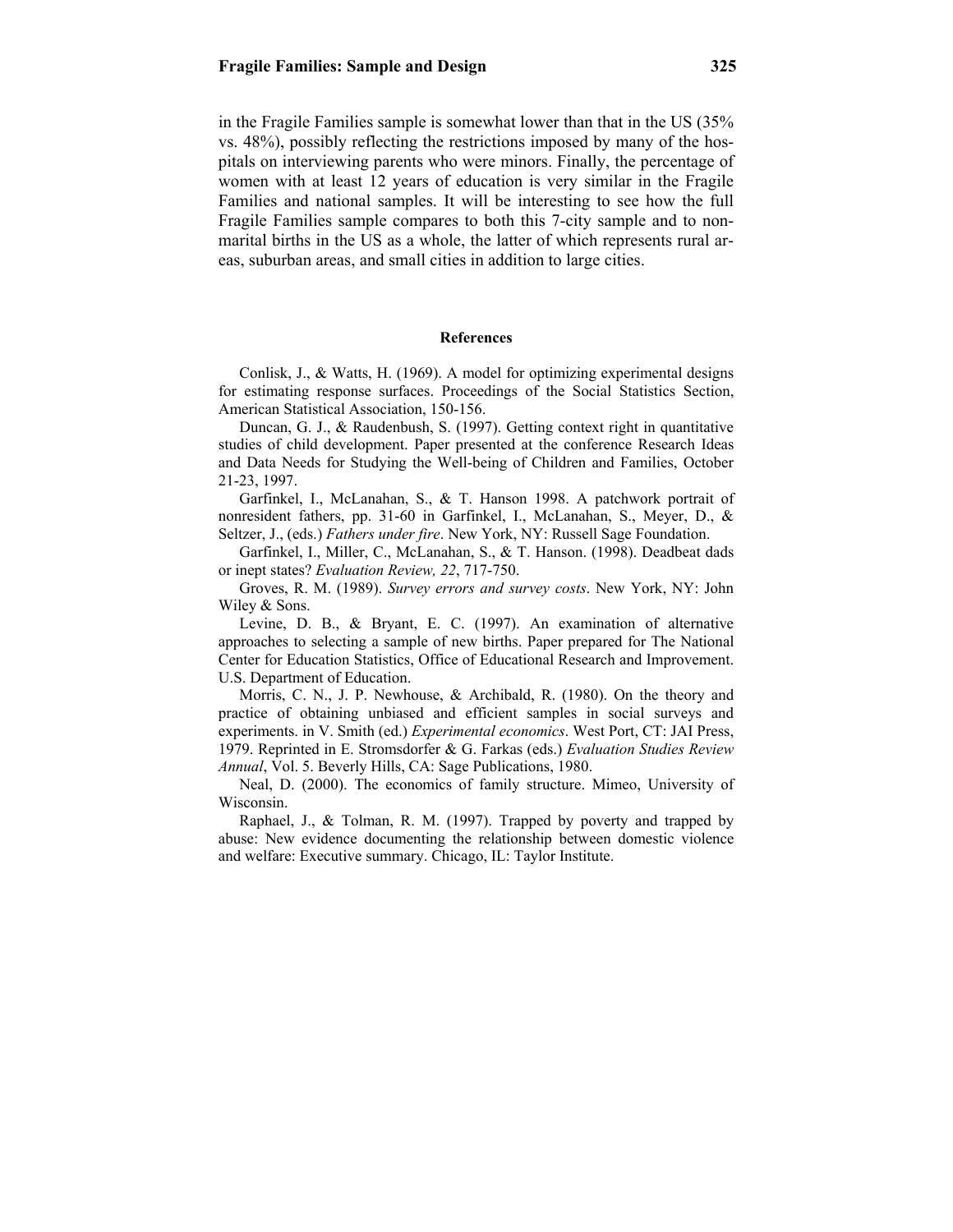in the Fragile Families sample is somewhat lower than that in the US (35% vs. 48%), possibly reflecting the restrictions imposed by many of the hospitals on interviewing parents who were minors. Finally, the percentage of women with at least 12 years of education is very similar in the Fragile Families and national samples. It will be interesting to see how the full Fragile Families sample compares to both this 7-city sample and to nonmarital births in the US as a whole, the latter of which represents rural areas, suburban areas, and small cities in addition to large cities.

#### **References**

Conlisk, J., & Watts, H. (1969). A model for optimizing experimental designs for estimating response surfaces. Proceedings of the Social Statistics Section, American Statistical Association, 150-156.

Duncan, G. J., & Raudenbush, S. (1997). Getting context right in quantitative studies of child development. Paper presented at the conference Research Ideas and Data Needs for Studying the Well-being of Children and Families, October 21-23, 1997.

Garfinkel, I., McLanahan, S., & T. Hanson 1998. A patchwork portrait of nonresident fathers, pp. 31-60 in Garfinkel, I., McLanahan, S., Meyer, D., & Seltzer, J., (eds.) *Fathers under fire*. New York, NY: Russell Sage Foundation.

Garfinkel, I., Miller, C., McLanahan, S., & T. Hanson. (1998). Deadbeat dads or inept states? *Evaluation Review, 22*, 717-750.

Groves, R. M. (1989). *Survey errors and survey costs*. New York, NY: John Wiley & Sons.

Levine, D. B., & Bryant, E. C. (1997). An examination of alternative approaches to selecting a sample of new births. Paper prepared for The National Center for Education Statistics, Office of Educational Research and Improvement. U.S. Department of Education.

Morris, C. N., J. P. Newhouse, & Archibald, R. (1980). On the theory and practice of obtaining unbiased and efficient samples in social surveys and experiments. in V. Smith (ed.) *Experimental economics*. West Port, CT: JAI Press, 1979. Reprinted in E. Stromsdorfer & G. Farkas (eds.) *Evaluation Studies Review Annual*, Vol. 5. Beverly Hills, CA: Sage Publications, 1980.

Neal, D. (2000). The economics of family structure. Mimeo, University of Wisconsin.

Raphael, J., & Tolman, R. M. (1997). Trapped by poverty and trapped by abuse: New evidence documenting the relationship between domestic violence and welfare: Executive summary. Chicago, IL: Taylor Institute.